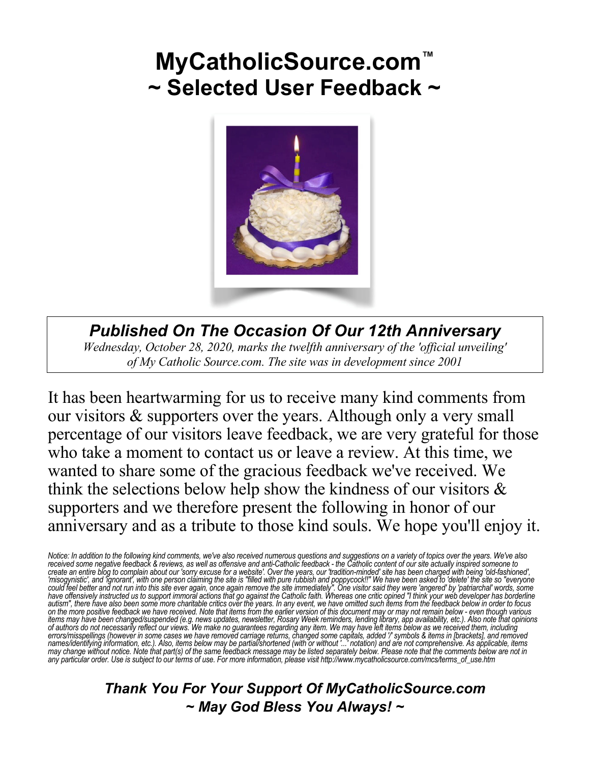# **MyCatholicSource.com™ ~ Selected User Feedback ~**



*Published On The Occasion Of Our 12th Anniversary Wednesday, October 28, 2020, marks the twelfth anniversary of the 'official unveiling' of My Catholic Source.com. The site was in development since 2001*

It has been heartwarming for us to receive many kind comments from our visitors & supporters over the years. Although only a very small percentage of our visitors leave feedback, we are very grateful for those who take a moment to contact us or leave a review. At this time, we wanted to share some of the gracious feedback we've received. We think the selections below help show the kindness of our visitors  $\&$ supporters and we therefore present the following in honor of our anniversary and as a tribute to those kind souls. We hope you'll enjoy it.

Notice: In addition to the following kind comments, we've also received numerous questions and suggestions on a variety of topics over the years. We've also received some negative feedback & reviews, as well as offensive a on the more positive feedback we have received. Note that items from the earlier version of this document may or may not remain below - even though various<br>items may have been changed/suspended (e.g. news updates, newslett *any particular order. Use is subject to our terms of use. For more information, please visit http://www.mycatholicsource.com/mcs/terms\_of\_use.htm*

> *Thank You For Your Support Of MyCatholicSource.com ~ May God Bless You Always! ~*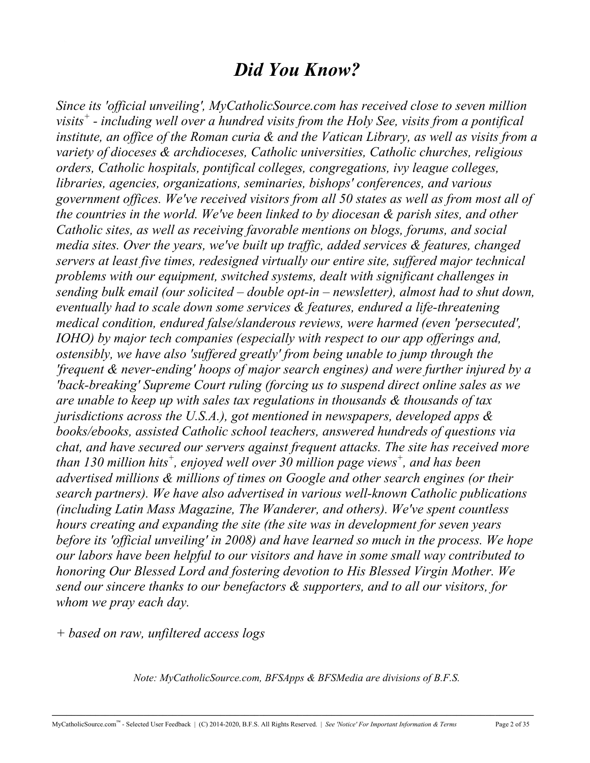# *Did You Know?*

*Since its 'official unveiling', MyCatholicSource.com has received close to seven million visits<sup>+</sup> - including well over a hundred visits from the Holy See, visits from a pontifical institute, an office of the Roman curia & and the Vatican Library, as well as visits from a variety of dioceses & archdioceses, Catholic universities, Catholic churches, religious orders, Catholic hospitals, pontifical colleges, congregations, ivy league colleges, libraries, agencies, organizations, seminaries, bishops' conferences, and various government offices. We've received visitors from all 50 states as well as from most all of the countries in the world. We've been linked to by diocesan & parish sites, and other Catholic sites, as well as receiving favorable mentions on blogs, forums, and social media sites. Over the years, we've built up traffic, added services & features, changed servers at least five times, redesigned virtually our entire site, suffered major technical problems with our equipment, switched systems, dealt with significant challenges in sending bulk email (our solicited – double opt-in – newsletter), almost had to shut down, eventually had to scale down some services & features, endured a life-threatening medical condition, endured false/slanderous reviews, were harmed (even 'persecuted', IOHO) by major tech companies (especially with respect to our app offerings and, ostensibly, we have also 'suffered greatly' from being unable to jump through the 'frequent & never-ending' hoops of major search engines) and were further injured by a 'back-breaking' Supreme Court ruling (forcing us to suspend direct online sales as we are unable to keep up with sales tax regulations in thousands & thousands of tax jurisdictions across the U.S.A.), got mentioned in newspapers, developed apps & books/ebooks, assisted Catholic school teachers, answered hundreds of questions via chat, and have secured our servers against frequent attacks. The site has received more than 130 million hits+ , enjoyed well over 30 million page views<sup>+</sup> , and has been advertised millions & millions of times on Google and other search engines (or their search partners). We have also advertised in various well-known Catholic publications (including Latin Mass Magazine, The Wanderer, and others). We've spent countless hours creating and expanding the site (the site was in development for seven years before its 'official unveiling' in 2008) and have learned so much in the process. We hope our labors have been helpful to our visitors and have in some small way contributed to honoring Our Blessed Lord and fostering devotion to His Blessed Virgin Mother. We send our sincere thanks to our benefactors & supporters, and to all our visitors, for whom we pray each day.*

*+ based on raw, unfiltered access logs*

*Note: MyCatholicSource.com, BFSApps & BFSMedia are divisions of B.F.S.*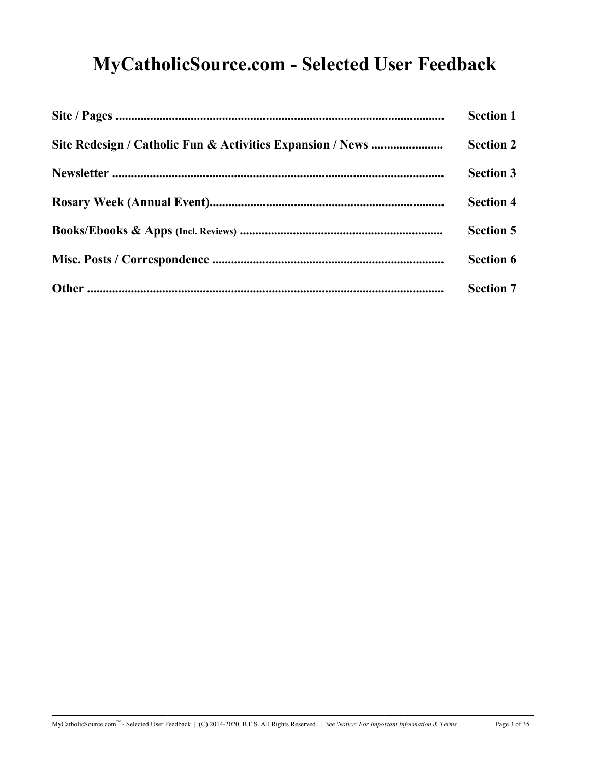# **MyCatholicSource.com - Selected User Feedback**

| <b>Section 1</b> |
|------------------|
| <b>Section 2</b> |
| <b>Section 3</b> |
| <b>Section 4</b> |
| <b>Section 5</b> |
| <b>Section 6</b> |
| <b>Section 7</b> |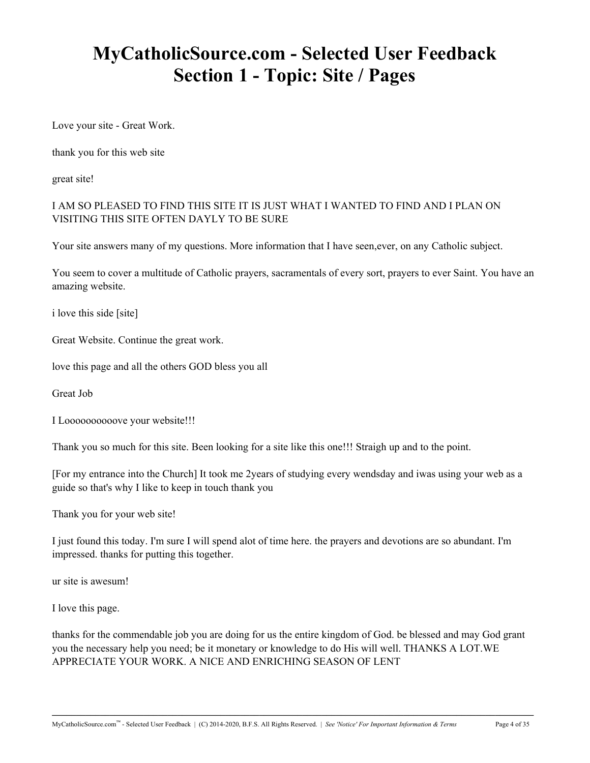# **MyCatholicSource.com - Selected User Feedback Section 1 - Topic: Site / Pages**

Love your site - Great Work.

thank you for this web site

great site!

I AM SO PLEASED TO FIND THIS SITE IT IS JUST WHAT I WANTED TO FIND AND I PLAN ON VISITING THIS SITE OFTEN DAYLY TO BE SURE

Your site answers many of my questions. More information that I have seen,ever, on any Catholic subject.

You seem to cover a multitude of Catholic prayers, sacramentals of every sort, prayers to ever Saint. You have an amazing website.

i love this side [site]

Great Website. Continue the great work.

love this page and all the others GOD bless you all

Great Job

I Loooooooooove your website!!!

Thank you so much for this site. Been looking for a site like this one!!! Straigh up and to the point.

[For my entrance into the Church] It took me 2years of studying every wendsday and iwas using your web as a guide so that's why I like to keep in touch thank you

Thank you for your web site!

I just found this today. I'm sure I will spend alot of time here. the prayers and devotions are so abundant. I'm impressed. thanks for putting this together.

ur site is awesum!

I love this page.

thanks for the commendable job you are doing for us the entire kingdom of God. be blessed and may God grant you the necessary help you need; be it monetary or knowledge to do His will well. THANKS A LOT.WE APPRECIATE YOUR WORK. A NICE AND ENRICHING SEASON OF LENT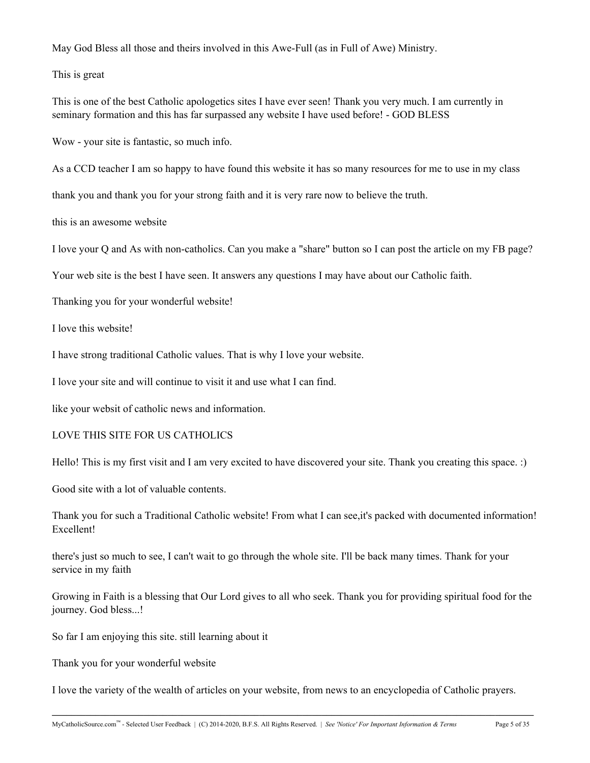May God Bless all those and theirs involved in this Awe-Full (as in Full of Awe) Ministry.

This is great

This is one of the best Catholic apologetics sites I have ever seen! Thank you very much. I am currently in seminary formation and this has far surpassed any website I have used before! - GOD BLESS

Wow - your site is fantastic, so much info.

As a CCD teacher I am so happy to have found this website it has so many resources for me to use in my class

thank you and thank you for your strong faith and it is very rare now to believe the truth.

this is an awesome website

I love your Q and As with non-catholics. Can you make a "share" button so I can post the article on my FB page?

Your web site is the best I have seen. It answers any questions I may have about our Catholic faith.

Thanking you for your wonderful website!

I love this website!

I have strong traditional Catholic values. That is why I love your website.

I love your site and will continue to visit it and use what I can find.

like your websit of catholic news and information.

### LOVE THIS SITE FOR US CATHOLICS

Hello! This is my first visit and I am very excited to have discovered your site. Thank you creating this space. :)

Good site with a lot of valuable contents.

Thank you for such a Traditional Catholic website! From what I can see,it's packed with documented information! Excellent!

there's just so much to see, I can't wait to go through the whole site. I'll be back many times. Thank for your service in my faith

Growing in Faith is a blessing that Our Lord gives to all who seek. Thank you for providing spiritual food for the journey. God bless...!

So far I am enjoying this site. still learning about it

Thank you for your wonderful website

I love the variety of the wealth of articles on your website, from news to an encyclopedia of Catholic prayers.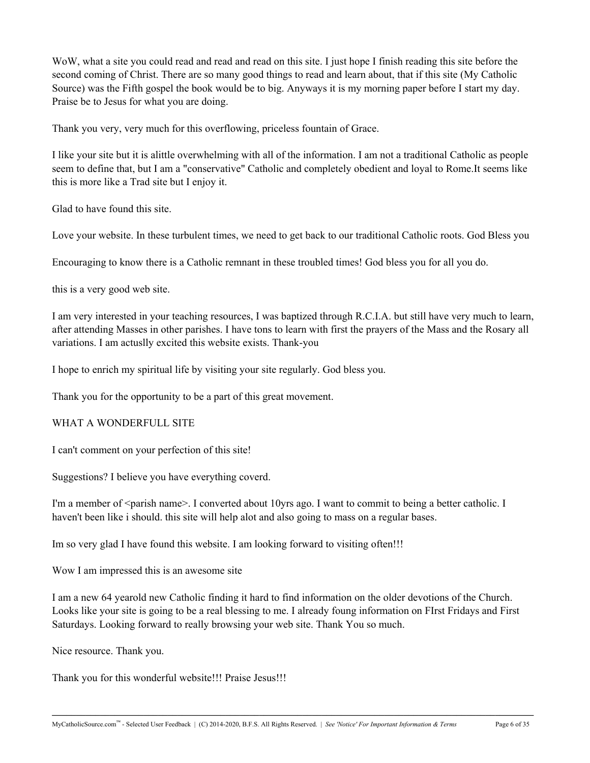WoW, what a site you could read and read and read on this site. I just hope I finish reading this site before the second coming of Christ. There are so many good things to read and learn about, that if this site (My Catholic Source) was the Fifth gospel the book would be to big. Anyways it is my morning paper before I start my day. Praise be to Jesus for what you are doing.

Thank you very, very much for this overflowing, priceless fountain of Grace.

I like your site but it is alittle overwhelming with all of the information. I am not a traditional Catholic as people seem to define that, but I am a "conservative" Catholic and completely obedient and loyal to Rome.It seems like this is more like a Trad site but I enjoy it.

Glad to have found this site.

Love your website. In these turbulent times, we need to get back to our traditional Catholic roots. God Bless you

Encouraging to know there is a Catholic remnant in these troubled times! God bless you for all you do.

this is a very good web site.

I am very interested in your teaching resources, I was baptized through R.C.I.A. but still have very much to learn, after attending Masses in other parishes. I have tons to learn with first the prayers of the Mass and the Rosary all variations. I am actuslly excited this website exists. Thank-you

I hope to enrich my spiritual life by visiting your site regularly. God bless you.

Thank you for the opportunity to be a part of this great movement.

### WHAT A WONDERFULL SITE

I can't comment on your perfection of this site!

Suggestions? I believe you have everything coverd.

I'm a member of <parish name>. I converted about 10yrs ago. I want to commit to being a better catholic. I haven't been like i should. this site will help alot and also going to mass on a regular bases.

Im so very glad I have found this website. I am looking forward to visiting often!!!

Wow I am impressed this is an awesome site

I am a new 64 yearold new Catholic finding it hard to find information on the older devotions of the Church. Looks like your site is going to be a real blessing to me. I already foung information on FIrst Fridays and First Saturdays. Looking forward to really browsing your web site. Thank You so much.

**\_\_\_\_\_\_\_\_\_\_\_\_\_\_\_\_\_\_\_\_\_\_\_\_\_\_\_\_\_\_\_\_\_\_\_\_\_\_\_\_\_\_\_\_\_\_\_\_\_\_\_\_\_\_\_\_\_\_\_\_\_\_\_\_\_\_\_\_\_\_\_\_\_\_\_\_\_\_\_\_\_\_\_\_\_\_\_\_\_\_\_\_\_\_\_\_\_\_\_\_**

Nice resource. Thank you.

Thank you for this wonderful website!!! Praise Jesus!!!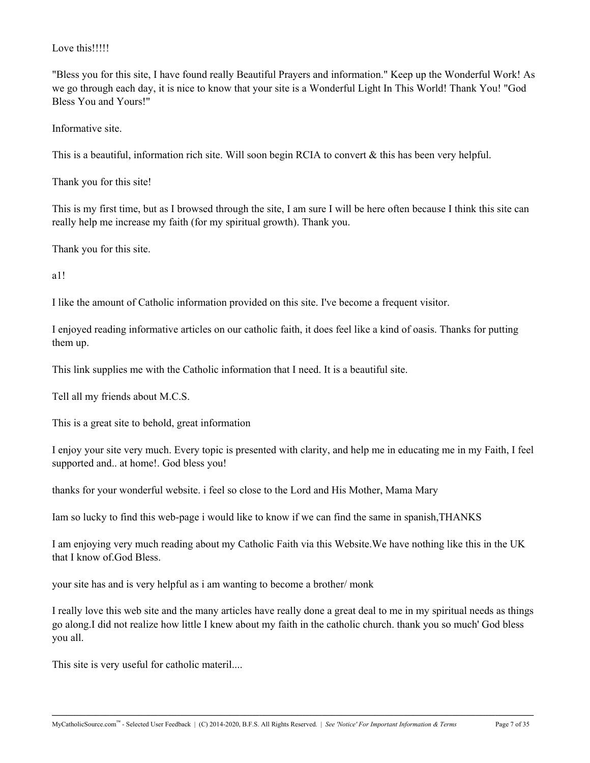### Love this!!!!!

"Bless you for this site, I have found really Beautiful Prayers and information." Keep up the Wonderful Work! As we go through each day, it is nice to know that your site is a Wonderful Light In This World! Thank You! "God Bless You and Yours!"

Informative site.

This is a beautiful, information rich site. Will soon begin RCIA to convert & this has been very helpful.

Thank you for this site!

This is my first time, but as I browsed through the site, I am sure I will be here often because I think this site can really help me increase my faith (for my spiritual growth). Thank you.

Thank you for this site.

a1!

I like the amount of Catholic information provided on this site. I've become a frequent visitor.

I enjoyed reading informative articles on our catholic faith, it does feel like a kind of oasis. Thanks for putting them up.

This link supplies me with the Catholic information that I need. It is a beautiful site.

Tell all my friends about M.C.S.

This is a great site to behold, great information

I enjoy your site very much. Every topic is presented with clarity, and help me in educating me in my Faith, I feel supported and.. at home!. God bless you!

thanks for your wonderful website. i feel so close to the Lord and His Mother, Mama Mary

Iam so lucky to find this web-page i would like to know if we can find the same in spanish,THANKS

I am enjoying very much reading about my Catholic Faith via this Website.We have nothing like this in the UK that I know of.God Bless.

your site has and is very helpful as i am wanting to become a brother/ monk

I really love this web site and the many articles have really done a great deal to me in my spiritual needs as things go along.I did not realize how little I knew about my faith in the catholic church. thank you so much' God bless you all.

**\_\_\_\_\_\_\_\_\_\_\_\_\_\_\_\_\_\_\_\_\_\_\_\_\_\_\_\_\_\_\_\_\_\_\_\_\_\_\_\_\_\_\_\_\_\_\_\_\_\_\_\_\_\_\_\_\_\_\_\_\_\_\_\_\_\_\_\_\_\_\_\_\_\_\_\_\_\_\_\_\_\_\_\_\_\_\_\_\_\_\_\_\_\_\_\_\_\_\_\_**

This site is very useful for catholic materil....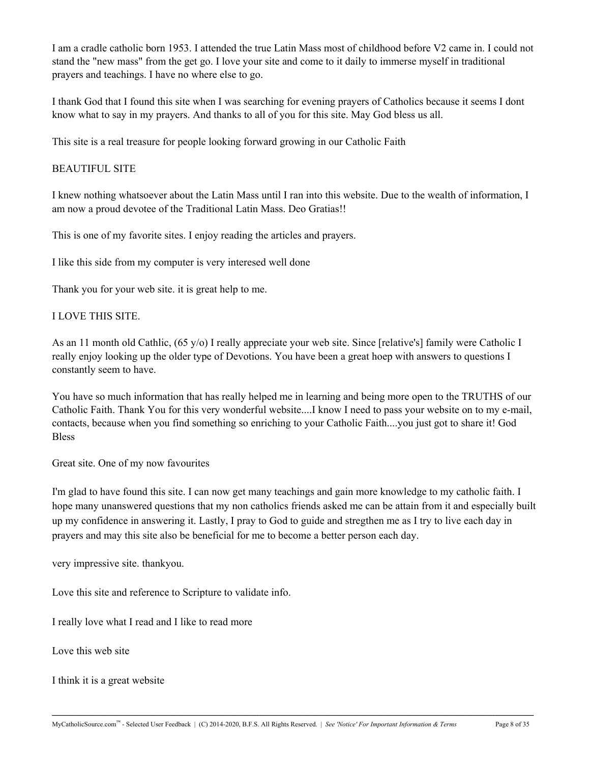I am a cradle catholic born 1953. I attended the true Latin Mass most of childhood before V2 came in. I could not stand the "new mass" from the get go. I love your site and come to it daily to immerse myself in traditional prayers and teachings. I have no where else to go.

I thank God that I found this site when I was searching for evening prayers of Catholics because it seems I dont know what to say in my prayers. And thanks to all of you for this site. May God bless us all.

This site is a real treasure for people looking forward growing in our Catholic Faith

#### BEAUTIFUL SITE

I knew nothing whatsoever about the Latin Mass until I ran into this website. Due to the wealth of information, I am now a proud devotee of the Traditional Latin Mass. Deo Gratias!!

This is one of my favorite sites. I enjoy reading the articles and prayers.

I like this side from my computer is very interesed well done

Thank you for your web site. it is great help to me.

### I LOVE THIS SITE.

As an 11 month old Cathlic, (65 y/o) I really appreciate your web site. Since [relative's] family were Catholic I really enjoy looking up the older type of Devotions. You have been a great hoep with answers to questions I constantly seem to have.

You have so much information that has really helped me in learning and being more open to the TRUTHS of our Catholic Faith. Thank You for this very wonderful website....I know I need to pass your website on to my e-mail, contacts, because when you find something so enriching to your Catholic Faith....you just got to share it! God **Bless** 

Great site. One of my now favourites

I'm glad to have found this site. I can now get many teachings and gain more knowledge to my catholic faith. I hope many unanswered questions that my non catholics friends asked me can be attain from it and especially built up my confidence in answering it. Lastly, I pray to God to guide and stregthen me as I try to live each day in prayers and may this site also be beneficial for me to become a better person each day.

very impressive site. thankyou.

Love this site and reference to Scripture to validate info.

I really love what I read and I like to read more

Love this web site

I think it is a great website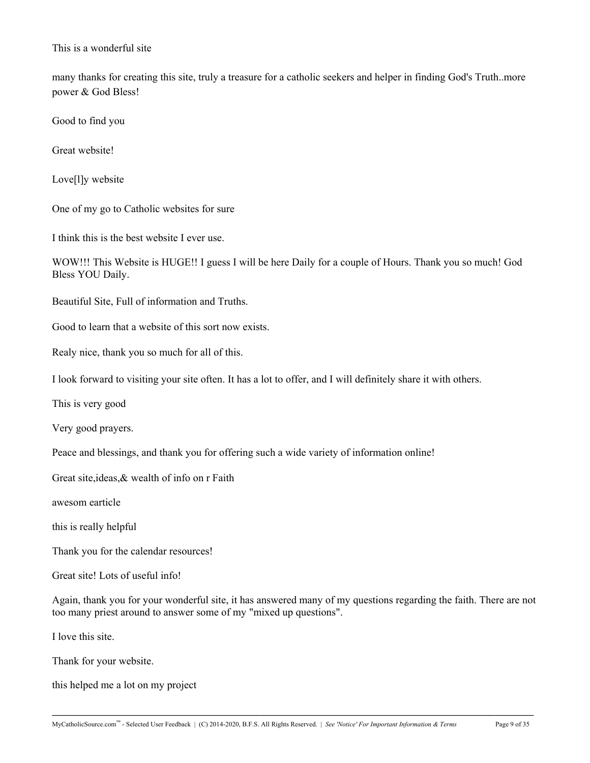This is a wonderful site

many thanks for creating this site, truly a treasure for a catholic seekers and helper in finding God's Truth..more power & God Bless!

Good to find you

Great website!

Love[l]y website

One of my go to Catholic websites for sure

I think this is the best website I ever use.

WOW!!! This Website is HUGE!! I guess I will be here Daily for a couple of Hours. Thank you so much! God Bless YOU Daily.

Beautiful Site, Full of information and Truths.

Good to learn that a website of this sort now exists.

Realy nice, thank you so much for all of this.

I look forward to visiting your site often. It has a lot to offer, and I will definitely share it with others.

This is very good

Very good prayers.

Peace and blessings, and thank you for offering such a wide variety of information online!

Great site,ideas,& wealth of info on r Faith

awesom earticle

this is really helpful

Thank you for the calendar resources!

Great site! Lots of useful info!

Again, thank you for your wonderful site, it has answered many of my questions regarding the faith. There are not too many priest around to answer some of my "mixed up questions".

**\_\_\_\_\_\_\_\_\_\_\_\_\_\_\_\_\_\_\_\_\_\_\_\_\_\_\_\_\_\_\_\_\_\_\_\_\_\_\_\_\_\_\_\_\_\_\_\_\_\_\_\_\_\_\_\_\_\_\_\_\_\_\_\_\_\_\_\_\_\_\_\_\_\_\_\_\_\_\_\_\_\_\_\_\_\_\_\_\_\_\_\_\_\_\_\_\_\_\_\_**

I love this site.

Thank for your website.

this helped me a lot on my project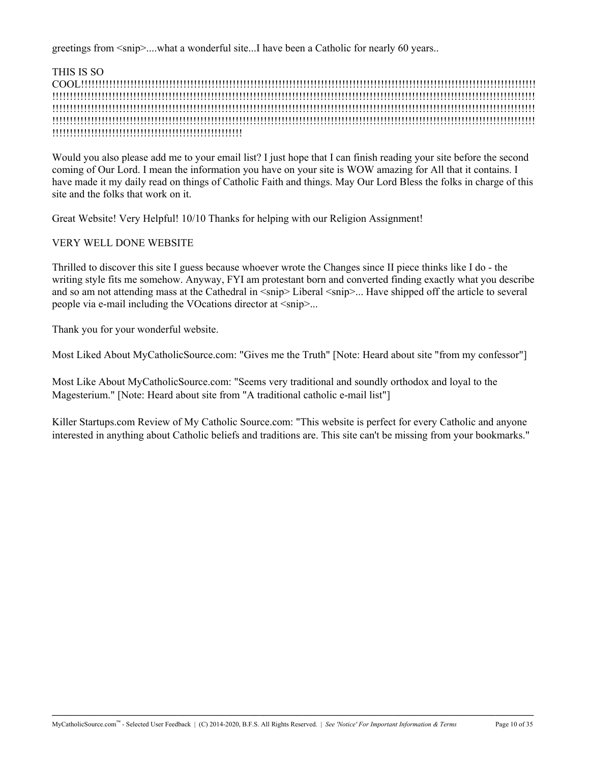greetings from  $\langle$ snip $\rangle$ ....what a wonderful site...I have been a Catholic for nearly 60 years..

THIS IS SO

COOL!!!!!!!!!!!!!!!!!!!!!!!!!!!!!!!!!!!!!!!!!!!!!!!!!!!!!!!!!!!!!!!!!!!!!!!!!!!!!!!!!!!!!!!!!!!!!!!!!!!!!!!!!!!!!!!!!!!!!!!!!!!!!!!!! !!!!!!!!!!!!!!!!!!!!!!!!!!!!!!!!!!!!!!!!!!!!!!!!!!!!!!!!!!!!!!!!!!!!!!!!!!!!!!!!!!!!!!!!!!!!!!!!!!!!!!!!!!!!!!!!!!!!!!!!!!!!!!!!!!!!!!!!! !!!!!!!!!!!!!!!!!!!!!!!!!!!!!!!!!!!!!!!!!!!!!!!!!!!!!!!!!!!!!!!!!!!!!!!!!!!!!!!!!!!!!!!!!!!!!!!!!!!!!!!!!!!!!!!!!!!!!!!!!!!!!!!!!!!!!!!!! !!!!!!!!!!!!!!!!!!!!!!!!!!!!!!!!!!!!!!!!!!!!!!!!!!!!!!!!!!!!!!!!!!!!!!!!!!!!!!!!!!!!!!!!!!!!!!!!!!!!!!!!!!!!!!!!!!!!!!!!!!!!!!!!!!!!!!!!! !!!!!!!!!!!!!!!!!!!!!!!!!!!!!!!!!!!!!!!!!!!!!!!!!!!!!!

Would you also please add me to your email list? I just hope that I can finish reading your site before the second coming of Our Lord. I mean the information you have on your site is WOW amazing for All that it contains. I have made it my daily read on things of Catholic Faith and things. May Our Lord Bless the folks in charge of this site and the folks that work on it.

Great Website! Very Helpful! 10/10 Thanks for helping with our Religion Assignment!

### VERY WELL DONE WEBSITE

Thrilled to discover this site I guess because whoever wrote the Changes since II piece thinks like I do - the writing style fits me somehow. Anyway, FYI am protestant born and converted finding exactly what you describe and so am not attending mass at the Cathedral in  $\langle \sinh \rangle$  Liberal  $\langle \sinh \rangle$ ... Have shipped off the article to several people via e-mail including the VOcations director at <snip>...

Thank you for your wonderful website.

Most Liked About MyCatholicSource.com: "Gives me the Truth" [Note: Heard about site "from my confessor"]

Most Like About MyCatholicSource.com: "Seems very traditional and soundly orthodox and loyal to the Magesterium." [Note: Heard about site from "A traditional catholic e-mail list"]

Killer Startups.com Review of My Catholic Source.com: "This website is perfect for every Catholic and anyone interested in anything about Catholic beliefs and traditions are. This site can't be missing from your bookmarks."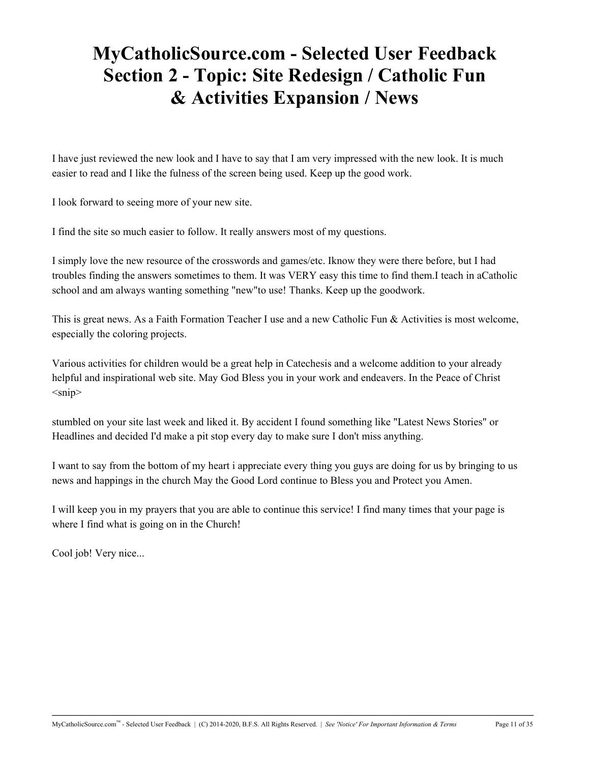# **MyCatholicSource.com - Selected User Feedback Section 2 - Topic: Site Redesign / Catholic Fun & Activities Expansion / News**

I have just reviewed the new look and I have to say that I am very impressed with the new look. It is much easier to read and I like the fulness of the screen being used. Keep up the good work.

I look forward to seeing more of your new site.

I find the site so much easier to follow. It really answers most of my questions.

I simply love the new resource of the crosswords and games/etc. Iknow they were there before, but I had troubles finding the answers sometimes to them. It was VERY easy this time to find them.I teach in aCatholic school and am always wanting something "new"to use! Thanks. Keep up the goodwork.

This is great news. As a Faith Formation Teacher I use and a new Catholic Fun & Activities is most welcome, especially the coloring projects.

Various activities for children would be a great help in Catechesis and a welcome addition to your already helpful and inspirational web site. May God Bless you in your work and endeavers. In the Peace of Christ  $<$ snip $>$ 

stumbled on your site last week and liked it. By accident I found something like "Latest News Stories" or Headlines and decided I'd make a pit stop every day to make sure I don't miss anything.

I want to say from the bottom of my heart i appreciate every thing you guys are doing for us by bringing to us news and happings in the church May the Good Lord continue to Bless you and Protect you Amen.

I will keep you in my prayers that you are able to continue this service! I find many times that your page is where I find what is going on in the Church!

Cool job! Very nice...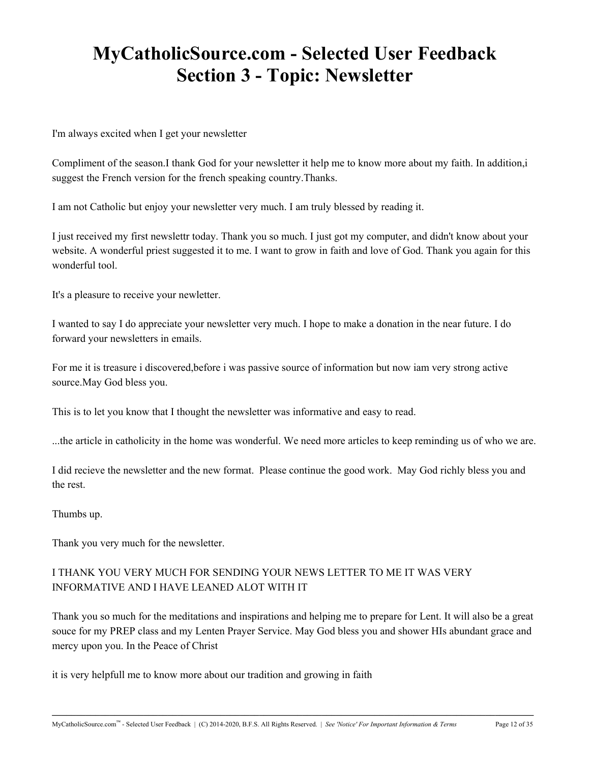# **MyCatholicSource.com - Selected User Feedback Section 3 - Topic: Newsletter**

I'm always excited when I get your newsletter

Compliment of the season.I thank God for your newsletter it help me to know more about my faith. In addition,i suggest the French version for the french speaking country.Thanks.

I am not Catholic but enjoy your newsletter very much. I am truly blessed by reading it.

I just received my first newslettr today. Thank you so much. I just got my computer, and didn't know about your website. A wonderful priest suggested it to me. I want to grow in faith and love of God. Thank you again for this wonderful tool.

It's a pleasure to receive your newletter.

I wanted to say I do appreciate your newsletter very much. I hope to make a donation in the near future. I do forward your newsletters in emails.

For me it is treasure i discovered,before i was passive source of information but now iam very strong active source.May God bless you.

This is to let you know that I thought the newsletter was informative and easy to read.

...the article in catholicity in the home was wonderful. We need more articles to keep reminding us of who we are.

I did recieve the newsletter and the new format. Please continue the good work. May God richly bless you and the rest.

Thumbs up.

Thank you very much for the newsletter.

## I THANK YOU VERY MUCH FOR SENDING YOUR NEWS LETTER TO ME IT WAS VERY INFORMATIVE AND I HAVE LEANED ALOT WITH IT

Thank you so much for the meditations and inspirations and helping me to prepare for Lent. It will also be a great souce for my PREP class and my Lenten Prayer Service. May God bless you and shower HIs abundant grace and mercy upon you. In the Peace of Christ

**\_\_\_\_\_\_\_\_\_\_\_\_\_\_\_\_\_\_\_\_\_\_\_\_\_\_\_\_\_\_\_\_\_\_\_\_\_\_\_\_\_\_\_\_\_\_\_\_\_\_\_\_\_\_\_\_\_\_\_\_\_\_\_\_\_\_\_\_\_\_\_\_\_\_\_\_\_\_\_\_\_\_\_\_\_\_\_\_\_\_\_\_\_\_\_\_\_\_\_\_**

it is very helpfull me to know more about our tradition and growing in faith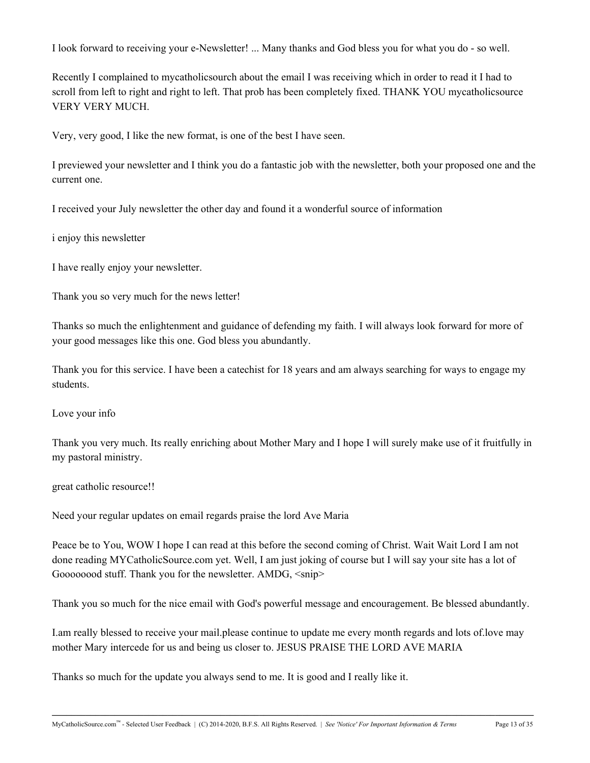I look forward to receiving your e-Newsletter! ... Many thanks and God bless you for what you do - so well.

Recently I complained to mycatholicsourch about the email I was receiving which in order to read it I had to scroll from left to right and right to left. That prob has been completely fixed. THANK YOU mycatholicsource VERY VERY MUCH.

Very, very good, I like the new format, is one of the best I have seen.

I previewed your newsletter and I think you do a fantastic job with the newsletter, both your proposed one and the current one.

I received your July newsletter the other day and found it a wonderful source of information

i enjoy this newsletter

I have really enjoy your newsletter.

Thank you so very much for the news letter!

Thanks so much the enlightenment and guidance of defending my faith. I will always look forward for more of your good messages like this one. God bless you abundantly.

Thank you for this service. I have been a catechist for 18 years and am always searching for ways to engage my students.

Love your info

Thank you very much. Its really enriching about Mother Mary and I hope I will surely make use of it fruitfully in my pastoral ministry.

great catholic resource!!

Need your regular updates on email regards praise the lord Ave Maria

Peace be to You, WOW I hope I can read at this before the second coming of Christ. Wait Wait Lord I am not done reading MYCatholicSource.com yet. Well, I am just joking of course but I will say your site has a lot of Goooooood stuff. Thank you for the newsletter. AMDG,  $\langle$ snip $\rangle$ 

Thank you so much for the nice email with God's powerful message and encouragement. Be blessed abundantly.

I.am really blessed to receive your mail.please continue to update me every month regards and lots of.love may mother Mary intercede for us and being us closer to. JESUS PRAISE THE LORD AVE MARIA

**\_\_\_\_\_\_\_\_\_\_\_\_\_\_\_\_\_\_\_\_\_\_\_\_\_\_\_\_\_\_\_\_\_\_\_\_\_\_\_\_\_\_\_\_\_\_\_\_\_\_\_\_\_\_\_\_\_\_\_\_\_\_\_\_\_\_\_\_\_\_\_\_\_\_\_\_\_\_\_\_\_\_\_\_\_\_\_\_\_\_\_\_\_\_\_\_\_\_\_\_**

Thanks so much for the update you always send to me. It is good and I really like it.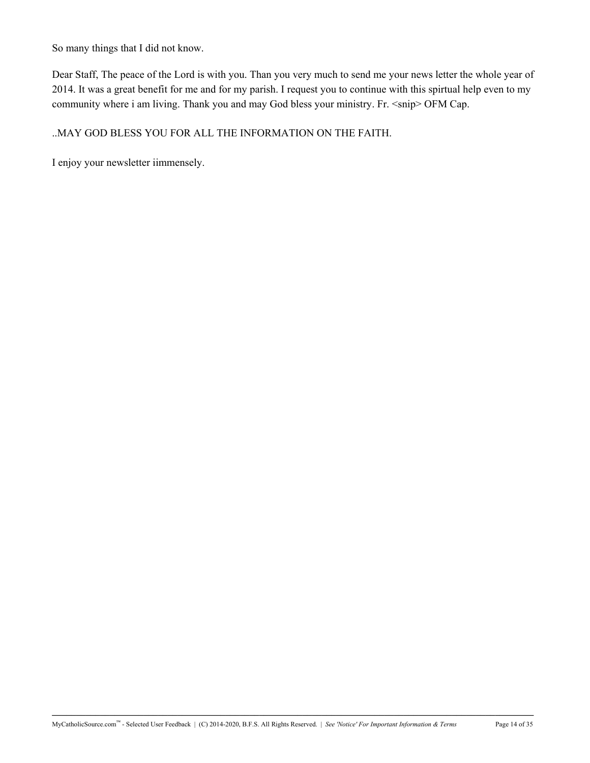So many things that I did not know.

Dear Staff, The peace of the Lord is with you. Than you very much to send me your news letter the whole year of 2014. It was a great benefit for me and for my parish. I request you to continue with this spirtual help even to my community where i am living. Thank you and may God bless your ministry. Fr. <snip> OFM Cap.

### ..MAY GOD BLESS YOU FOR ALL THE INFORMATION ON THE FAITH.

I enjoy your newsletter iimmensely.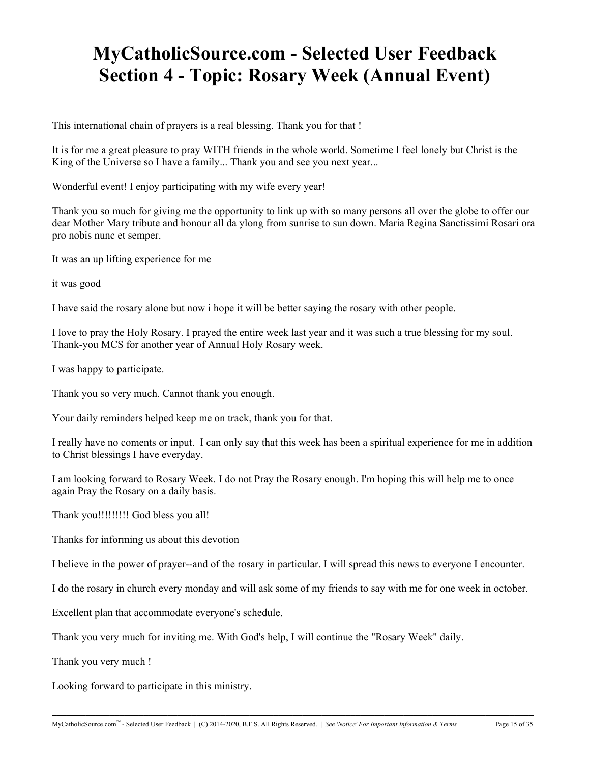# **MyCatholicSource.com - Selected User Feedback Section 4 - Topic: Rosary Week (Annual Event)**

This international chain of prayers is a real blessing. Thank you for that !

It is for me a great pleasure to pray WITH friends in the whole world. Sometime I feel lonely but Christ is the King of the Universe so I have a family... Thank you and see you next year...

Wonderful event! I enjoy participating with my wife every year!

Thank you so much for giving me the opportunity to link up with so many persons all over the globe to offer our dear Mother Mary tribute and honour all da ylong from sunrise to sun down. Maria Regina Sanctissimi Rosari ora pro nobis nunc et semper.

It was an up lifting experience for me

it was good

I have said the rosary alone but now i hope it will be better saying the rosary with other people.

I love to pray the Holy Rosary. I prayed the entire week last year and it was such a true blessing for my soul. Thank-you MCS for another year of Annual Holy Rosary week.

I was happy to participate.

Thank you so very much. Cannot thank you enough.

Your daily reminders helped keep me on track, thank you for that.

I really have no coments or input. I can only say that this week has been a spiritual experience for me in addition to Christ blessings I have everyday.

I am looking forward to Rosary Week. I do not Pray the Rosary enough. I'm hoping this will help me to once again Pray the Rosary on a daily basis.

Thank you!!!!!!!!!! God bless you all!

Thanks for informing us about this devotion

I believe in the power of prayer--and of the rosary in particular. I will spread this news to everyone I encounter.

I do the rosary in church every monday and will ask some of my friends to say with me for one week in october.

**\_\_\_\_\_\_\_\_\_\_\_\_\_\_\_\_\_\_\_\_\_\_\_\_\_\_\_\_\_\_\_\_\_\_\_\_\_\_\_\_\_\_\_\_\_\_\_\_\_\_\_\_\_\_\_\_\_\_\_\_\_\_\_\_\_\_\_\_\_\_\_\_\_\_\_\_\_\_\_\_\_\_\_\_\_\_\_\_\_\_\_\_\_\_\_\_\_\_\_\_**

Excellent plan that accommodate everyone's schedule.

Thank you very much for inviting me. With God's help, I will continue the "Rosary Week" daily.

Thank you very much !

Looking forward to participate in this ministry.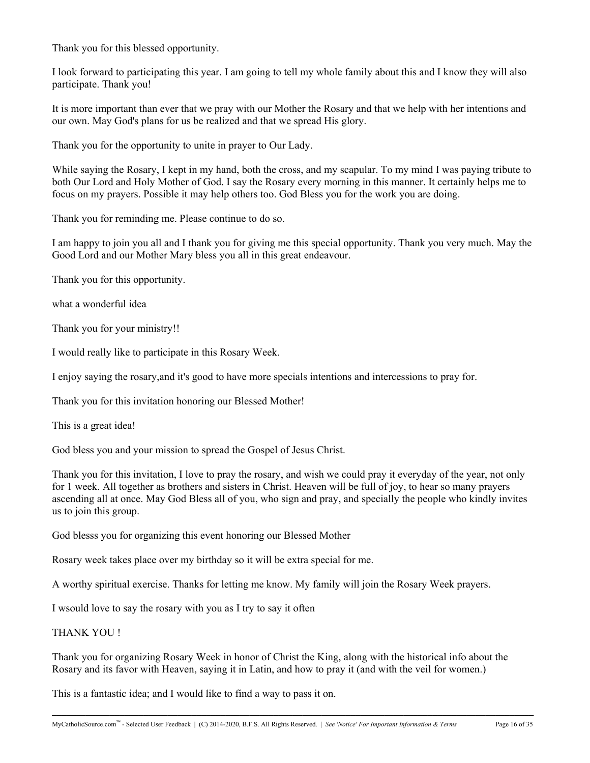Thank you for this blessed opportunity.

I look forward to participating this year. I am going to tell my whole family about this and I know they will also participate. Thank you!

It is more important than ever that we pray with our Mother the Rosary and that we help with her intentions and our own. May God's plans for us be realized and that we spread His glory.

Thank you for the opportunity to unite in prayer to Our Lady.

While saying the Rosary, I kept in my hand, both the cross, and my scapular. To my mind I was paying tribute to both Our Lord and Holy Mother of God. I say the Rosary every morning in this manner. It certainly helps me to focus on my prayers. Possible it may help others too. God Bless you for the work you are doing.

Thank you for reminding me. Please continue to do so.

I am happy to join you all and I thank you for giving me this special opportunity. Thank you very much. May the Good Lord and our Mother Mary bless you all in this great endeavour.

Thank you for this opportunity.

what a wonderful idea

Thank you for your ministry!!

I would really like to participate in this Rosary Week.

I enjoy saying the rosary,and it's good to have more specials intentions and intercessions to pray for.

Thank you for this invitation honoring our Blessed Mother!

This is a great idea!

God bless you and your mission to spread the Gospel of Jesus Christ.

Thank you for this invitation, I love to pray the rosary, and wish we could pray it everyday of the year, not only for 1 week. All together as brothers and sisters in Christ. Heaven will be full of joy, to hear so many prayers ascending all at once. May God Bless all of you, who sign and pray, and specially the people who kindly invites us to join this group.

God blesss you for organizing this event honoring our Blessed Mother

Rosary week takes place over my birthday so it will be extra special for me.

A worthy spiritual exercise. Thanks for letting me know. My family will join the Rosary Week prayers.

I wsould love to say the rosary with you as I try to say it often

#### THANK YOU !

Thank you for organizing Rosary Week in honor of Christ the King, along with the historical info about the Rosary and its favor with Heaven, saying it in Latin, and how to pray it (and with the veil for women.)

**\_\_\_\_\_\_\_\_\_\_\_\_\_\_\_\_\_\_\_\_\_\_\_\_\_\_\_\_\_\_\_\_\_\_\_\_\_\_\_\_\_\_\_\_\_\_\_\_\_\_\_\_\_\_\_\_\_\_\_\_\_\_\_\_\_\_\_\_\_\_\_\_\_\_\_\_\_\_\_\_\_\_\_\_\_\_\_\_\_\_\_\_\_\_\_\_\_\_\_\_**

This is a fantastic idea; and I would like to find a way to pass it on.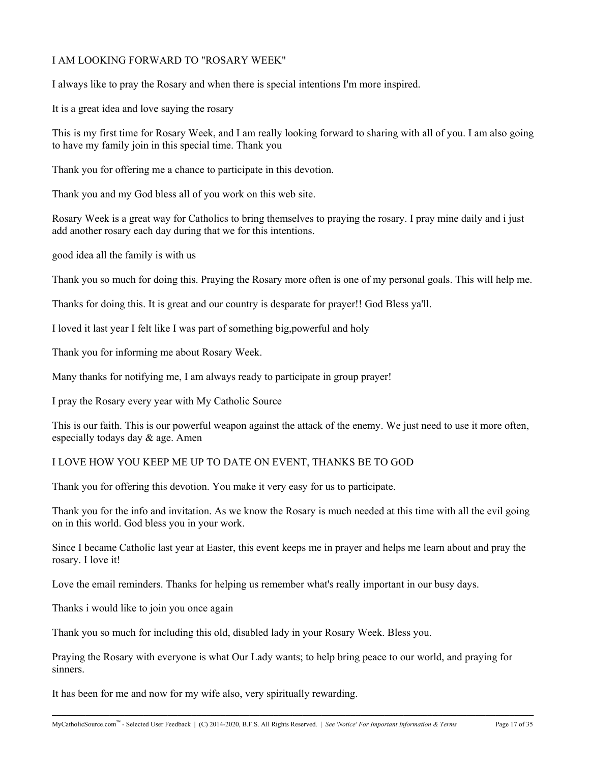### I AM LOOKING FORWARD TO "ROSARY WEEK"

I always like to pray the Rosary and when there is special intentions I'm more inspired.

It is a great idea and love saying the rosary

This is my first time for Rosary Week, and I am really looking forward to sharing with all of you. I am also going to have my family join in this special time. Thank you

Thank you for offering me a chance to participate in this devotion.

Thank you and my God bless all of you work on this web site.

Rosary Week is a great way for Catholics to bring themselves to praying the rosary. I pray mine daily and i just add another rosary each day during that we for this intentions.

good idea all the family is with us

Thank you so much for doing this. Praying the Rosary more often is one of my personal goals. This will help me.

Thanks for doing this. It is great and our country is desparate for prayer!! God Bless ya'll.

I loved it last year I felt like I was part of something big,powerful and holy

Thank you for informing me about Rosary Week.

Many thanks for notifying me, I am always ready to participate in group prayer!

I pray the Rosary every year with My Catholic Source

This is our faith. This is our powerful weapon against the attack of the enemy. We just need to use it more often, especially todays day & age. Amen

### I LOVE HOW YOU KEEP ME UP TO DATE ON EVENT, THANKS BE TO GOD

Thank you for offering this devotion. You make it very easy for us to participate.

Thank you for the info and invitation. As we know the Rosary is much needed at this time with all the evil going on in this world. God bless you in your work.

Since I became Catholic last year at Easter, this event keeps me in prayer and helps me learn about and pray the rosary. I love it!

Love the email reminders. Thanks for helping us remember what's really important in our busy days.

Thanks i would like to join you once again

Thank you so much for including this old, disabled lady in your Rosary Week. Bless you.

Praying the Rosary with everyone is what Our Lady wants; to help bring peace to our world, and praying for sinners.

**\_\_\_\_\_\_\_\_\_\_\_\_\_\_\_\_\_\_\_\_\_\_\_\_\_\_\_\_\_\_\_\_\_\_\_\_\_\_\_\_\_\_\_\_\_\_\_\_\_\_\_\_\_\_\_\_\_\_\_\_\_\_\_\_\_\_\_\_\_\_\_\_\_\_\_\_\_\_\_\_\_\_\_\_\_\_\_\_\_\_\_\_\_\_\_\_\_\_\_\_**

It has been for me and now for my wife also, very spiritually rewarding.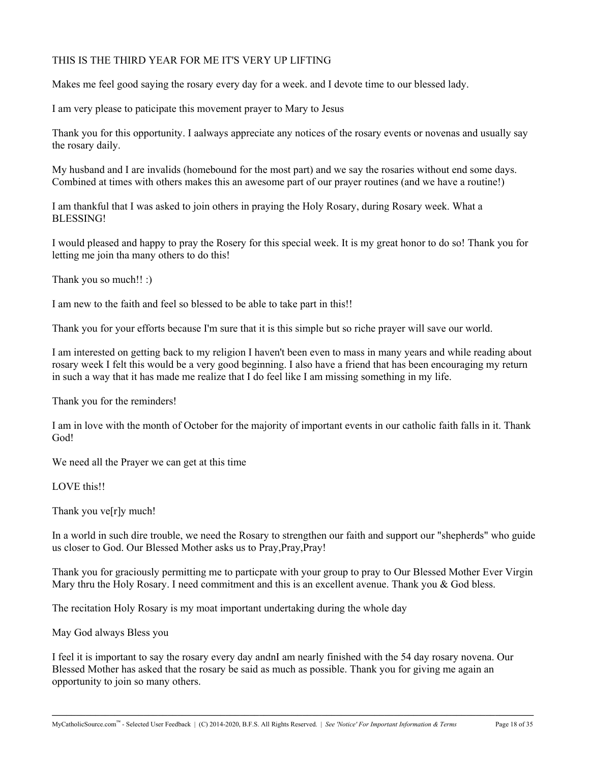### THIS IS THE THIRD YEAR FOR ME IT'S VERY UP LIFTING

Makes me feel good saying the rosary every day for a week. and I devote time to our blessed lady.

I am very please to paticipate this movement prayer to Mary to Jesus

Thank you for this opportunity. I aalways appreciate any notices of the rosary events or novenas and usually say the rosary daily.

My husband and I are invalids (homebound for the most part) and we say the rosaries without end some days. Combined at times with others makes this an awesome part of our prayer routines (and we have a routine!)

I am thankful that I was asked to join others in praying the Holy Rosary, during Rosary week. What a BLESSING!

I would pleased and happy to pray the Rosery for this special week. It is my great honor to do so! Thank you for letting me join tha many others to do this!

Thank you so much!! :)

I am new to the faith and feel so blessed to be able to take part in this!!

Thank you for your efforts because I'm sure that it is this simple but so riche prayer will save our world.

I am interested on getting back to my religion I haven't been even to mass in many years and while reading about rosary week I felt this would be a very good beginning. I also have a friend that has been encouraging my return in such a way that it has made me realize that I do feel like I am missing something in my life.

Thank you for the reminders!

I am in love with the month of October for the majority of important events in our catholic faith falls in it. Thank God!

We need all the Prayer we can get at this time

LOVE this!!

Thank you ve[r]y much!

In a world in such dire trouble, we need the Rosary to strengthen our faith and support our "shepherds" who guide us closer to God. Our Blessed Mother asks us to Pray,Pray,Pray!

Thank you for graciously permitting me to particpate with your group to pray to Our Blessed Mother Ever Virgin Mary thru the Holy Rosary. I need commitment and this is an excellent avenue. Thank you  $\&$  God bless.

The recitation Holy Rosary is my moat important undertaking during the whole day

May God always Bless you

I feel it is important to say the rosary every day andnI am nearly finished with the 54 day rosary novena. Our Blessed Mother has asked that the rosary be said as much as possible. Thank you for giving me again an opportunity to join so many others.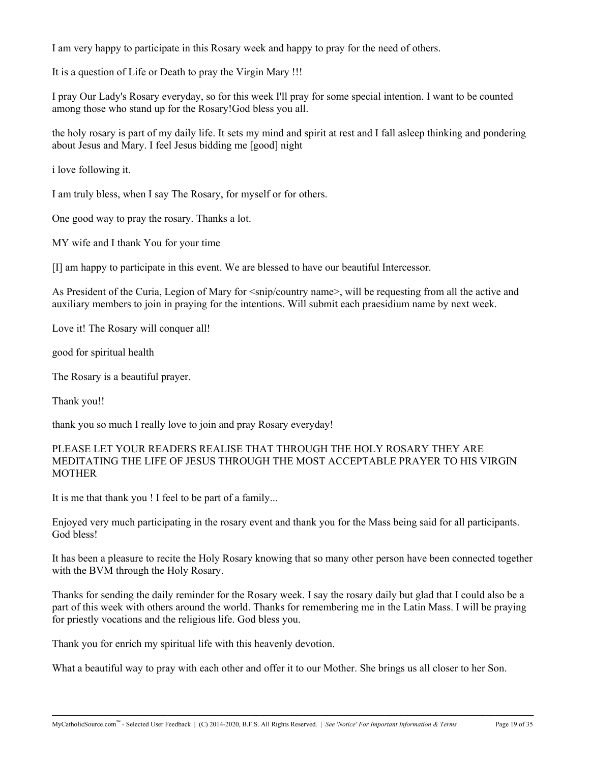I am very happy to participate in this Rosary week and happy to pray for the need of others.

It is a question of Life or Death to pray the Virgin Mary !!!

I pray Our Lady's Rosary everyday, so for this week I'll pray for some special intention. I want to be counted among those who stand up for the Rosary!God bless you all.

the holy rosary is part of my daily life. It sets my mind and spirit at rest and I fall asleep thinking and pondering about Jesus and Mary. I feel Jesus bidding me [good] night

i love following it.

I am truly bless, when I say The Rosary, for myself or for others.

One good way to pray the rosary. Thanks a lot.

MY wife and I thank You for your time

[I] am happy to participate in this event. We are blessed to have our beautiful Intercessor.

As President of the Curia, Legion of Mary for  $\langle$ snip/country name>, will be requesting from all the active and auxiliary members to join in praying for the intentions. Will submit each praesidium name by next week.

Love it! The Rosary will conquer all!

good for spiritual health

The Rosary is a beautiful prayer.

Thank you!!

thank you so much I really love to join and pray Rosary everyday!

#### PLEASE LET YOUR READERS REALISE THAT THROUGH THE HOLY ROSARY THEY ARE MEDITATING THE LIFE OF JESUS THROUGH THE MOST ACCEPTABLE PRAYER TO HIS VIRGIN MOTHER

It is me that thank you ! I feel to be part of a family...

Enjoyed very much participating in the rosary event and thank you for the Mass being said for all participants. God bless!

It has been a pleasure to recite the Holy Rosary knowing that so many other person have been connected together with the BVM through the Holy Rosary.

Thanks for sending the daily reminder for the Rosary week. I say the rosary daily but glad that I could also be a part of this week with others around the world. Thanks for remembering me in the Latin Mass. I will be praying for priestly vocations and the religious life. God bless you.

Thank you for enrich my spiritual life with this heavenly devotion.

What a beautiful way to pray with each other and offer it to our Mother. She brings us all closer to her Son.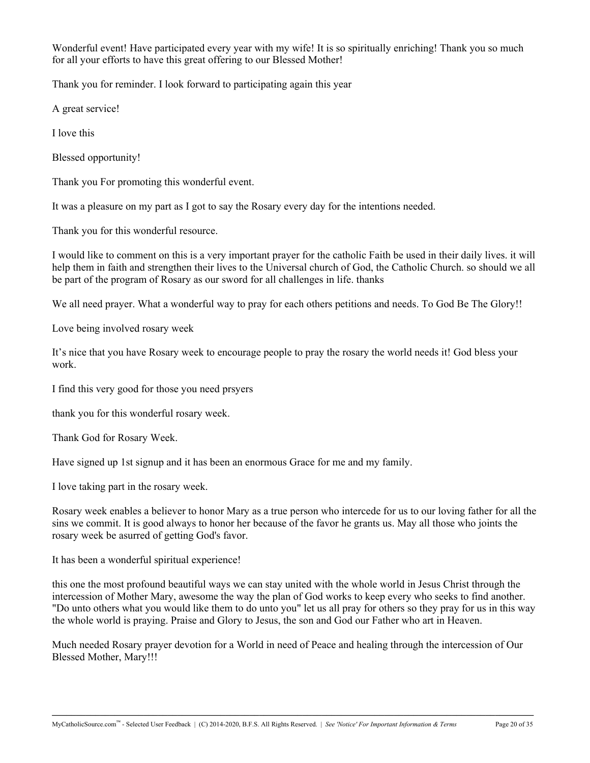Wonderful event! Have participated every year with my wife! It is so spiritually enriching! Thank you so much for all your efforts to have this great offering to our Blessed Mother!

Thank you for reminder. I look forward to participating again this year

A great service!

I love this

Blessed opportunity!

Thank you For promoting this wonderful event.

It was a pleasure on my part as I got to say the Rosary every day for the intentions needed.

Thank you for this wonderful resource.

I would like to comment on this is a very important prayer for the catholic Faith be used in their daily lives. it will help them in faith and strengthen their lives to the Universal church of God, the Catholic Church. so should we all be part of the program of Rosary as our sword for all challenges in life. thanks

We all need prayer. What a wonderful way to pray for each others petitions and needs. To God Be The Glory!!

Love being involved rosary week

It's nice that you have Rosary week to encourage people to pray the rosary the world needs it! God bless your work.

I find this very good for those you need prsyers

thank you for this wonderful rosary week.

Thank God for Rosary Week.

Have signed up 1st signup and it has been an enormous Grace for me and my family.

I love taking part in the rosary week.

Rosary week enables a believer to honor Mary as a true person who intercede for us to our loving father for all the sins we commit. It is good always to honor her because of the favor he grants us. May all those who joints the rosary week be asurred of getting God's favor.

It has been a wonderful spiritual experience!

this one the most profound beautiful ways we can stay united with the whole world in Jesus Christ through the intercession of Mother Mary, awesome the way the plan of God works to keep every who seeks to find another. "Do unto others what you would like them to do unto you" let us all pray for others so they pray for us in this way the whole world is praying. Praise and Glory to Jesus, the son and God our Father who art in Heaven.

Much needed Rosary prayer devotion for a World in need of Peace and healing through the intercession of Our Blessed Mother, Mary!!!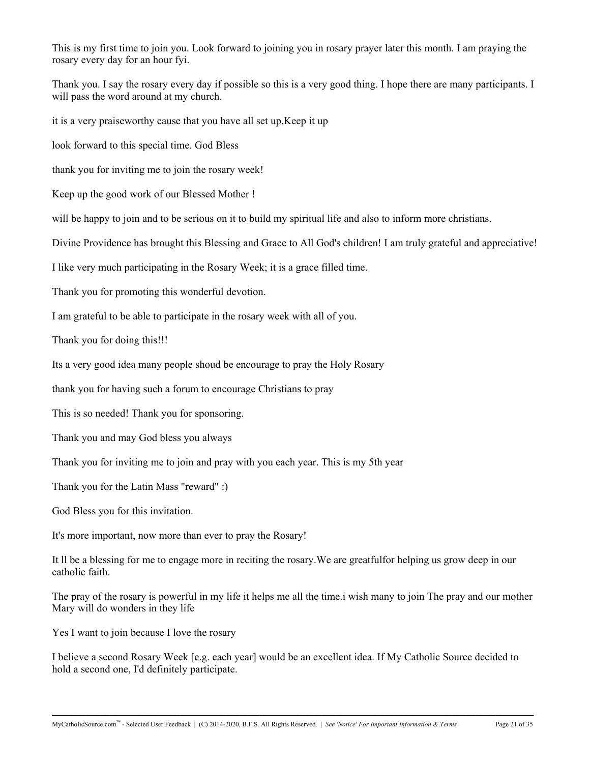This is my first time to join you. Look forward to joining you in rosary prayer later this month. I am praying the rosary every day for an hour fyi.

Thank you. I say the rosary every day if possible so this is a very good thing. I hope there are many participants. I will pass the word around at my church.

it is a very praiseworthy cause that you have all set up.Keep it up

look forward to this special time. God Bless

thank you for inviting me to join the rosary week!

Keep up the good work of our Blessed Mother !

will be happy to join and to be serious on it to build my spiritual life and also to inform more christians.

Divine Providence has brought this Blessing and Grace to All God's children! I am truly grateful and appreciative!

I like very much participating in the Rosary Week; it is a grace filled time.

Thank you for promoting this wonderful devotion.

I am grateful to be able to participate in the rosary week with all of you.

Thank you for doing this!!!

Its a very good idea many people shoud be encourage to pray the Holy Rosary

thank you for having such a forum to encourage Christians to pray

This is so needed! Thank you for sponsoring.

Thank you and may God bless you always

Thank you for inviting me to join and pray with you each year. This is my 5th year

Thank you for the Latin Mass "reward" :)

God Bless you for this invitation.

It's more important, now more than ever to pray the Rosary!

It ll be a blessing for me to engage more in reciting the rosary.We are greatfulfor helping us grow deep in our catholic faith.

The pray of the rosary is powerful in my life it helps me all the time.i wish many to join The pray and our mother Mary will do wonders in they life

Yes I want to join because I love the rosary

I believe a second Rosary Week [e.g. each year] would be an excellent idea. If My Catholic Source decided to hold a second one, I'd definitely participate.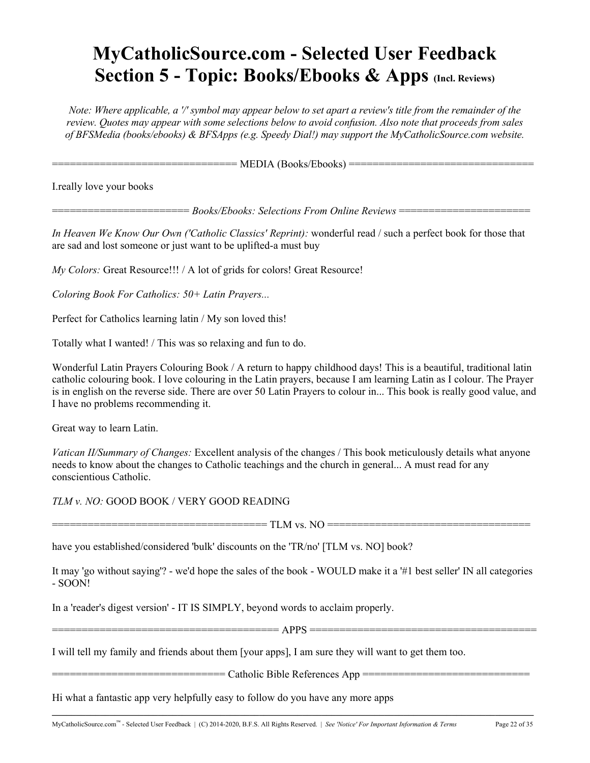# **MyCatholicSource.com - Selected User Feedback Section 5 - Topic: Books/Ebooks & Apps (Incl. Reviews)**

*Note: Where applicable, a '/' symbol may appear below to set apart a review's title from the remainder of the review. Quotes may appear with some selections below to avoid confusion. Also note that proceeds from sales of BFSMedia (books/ebooks) & BFSApps (e.g. Speedy Dial!) may support the MyCatholicSource.com website.*

=============================== MEDIA (Books/Ebooks) ===============================

I.really love your books

======================= *Books/Ebooks: Selections From Online Reviews* ======================

*In Heaven We Know Our Own ('Catholic Classics' Reprint):* wonderful read / such a perfect book for those that are sad and lost someone or just want to be uplifted-a must buy

*My Colors: Great Resource!!!* / A lot of grids for colors! Great Resource!

*Coloring Book For Catholics: 50+ Latin Prayers...*

Perfect for Catholics learning latin / My son loved this!

Totally what I wanted! / This was so relaxing and fun to do.

Wonderful Latin Prayers Colouring Book / A return to happy childhood days! This is a beautiful, traditional latin catholic colouring book. I love colouring in the Latin prayers, because I am learning Latin as I colour. The Prayer is in english on the reverse side. There are over 50 Latin Prayers to colour in... This book is really good value, and I have no problems recommending it.

Great way to learn Latin.

*Vatican II/Summary of Changes:* Excellent analysis of the changes / This book meticulously details what anyone needs to know about the changes to Catholic teachings and the church in general... A must read for any conscientious Catholic.

*TLM v. NO:* GOOD BOOK / VERY GOOD READING

==================================== TLM vs. NO ==================================

have you established/considered 'bulk' discounts on the 'TR/no' [TLM vs. NO] book?

It may 'go without saying'? - we'd hope the sales of the book - WOULD make it a '#1 best seller' IN all categories - SOON!

In a 'reader's digest version' - IT IS SIMPLY, beyond words to acclaim properly.

====================================== APPS ======================================

**\_\_\_\_\_\_\_\_\_\_\_\_\_\_\_\_\_\_\_\_\_\_\_\_\_\_\_\_\_\_\_\_\_\_\_\_\_\_\_\_\_\_\_\_\_\_\_\_\_\_\_\_\_\_\_\_\_\_\_\_\_\_\_\_\_\_\_\_\_\_\_\_\_\_\_\_\_\_\_\_\_\_\_\_\_\_\_\_\_\_\_\_\_\_\_\_\_\_\_\_**

I will tell my family and friends about them [your apps], I am sure they will want to get them too.

============================= Catholic Bible References App ============================

Hi what a fantastic app very helpfully easy to follow do you have any more apps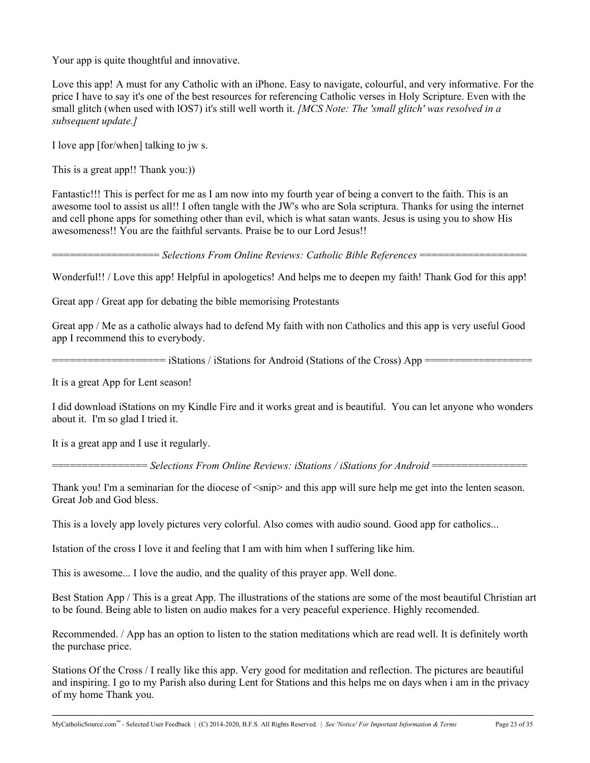Your app is quite thoughtful and innovative.

Love this app! A must for any Catholic with an iPhone. Easy to navigate, colourful, and very informative. For the price I have to say it's one of the best resources for referencing Catholic verses in Holy Scripture. Even with the small glitch (when used with lOS7) it's still well worth it. *[MCS Note: The 'small glitch' was resolved in a subsequent update.]*

I love app [for/when] talking to jw s.

This is a great app!! Thank you:))

Fantastic!!! This is perfect for me as I am now into my fourth year of being a convert to the faith. This is an awesome tool to assist us all!! I often tangle with the JW's who are Sola scriptura. Thanks for using the internet and cell phone apps for something other than evil, which is what satan wants. Jesus is using you to show His awesomeness!! You are the faithful servants. Praise be to our Lord Jesus!!

================== *Selections From Online Reviews: Catholic Bible References* ==================

Wonderful!! / Love this app! Helpful in apologetics! And helps me to deepen my faith! Thank God for this app!

Great app / Great app for debating the bible memorising Protestants

Great app / Me as a catholic always had to defend My faith with non Catholics and this app is very useful Good app I recommend this to everybody.

=================== iStations / iStations for Android (Stations of the Cross) App ==================

It is a great App for Lent season!

I did download iStations on my Kindle Fire and it works great and is beautiful. You can let anyone who wonders about it. I'm so glad I tried it.

It is a great app and I use it regularly.

================ *Selections From Online Reviews: iStations / iStations for Android* ================

Thank you! I'm a seminarian for the diocese of  $\langle \sin p \rangle$  and this app will sure help me get into the lenten season. Great Job and God bless.

This is a lovely app lovely pictures very colorful. Also comes with audio sound. Good app for catholics...

Istation of the cross I love it and feeling that I am with him when I suffering like him.

This is awesome... I love the audio, and the quality of this prayer app. Well done.

Best Station App / This is a great App. The illustrations of the stations are some of the most beautiful Christian art to be found. Being able to listen on audio makes for a very peaceful experience. Highly recomended.

Recommended. / App has an option to listen to the station meditations which are read well. It is definitely worth the purchase price.

Stations Of the Cross / I really like this app. Very good for meditation and reflection. The pictures are beautiful and inspiring. I go to my Parish also during Lent for Stations and this helps me on days when i am in the privacy of my home Thank you.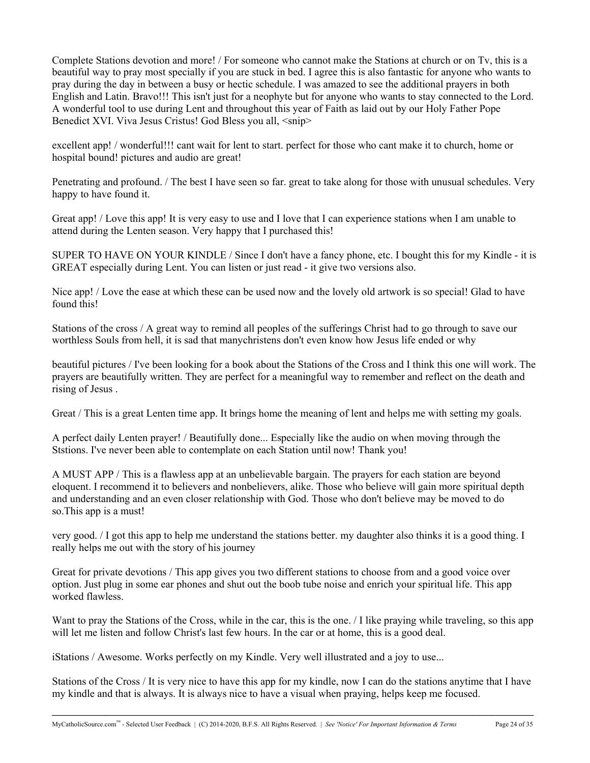Complete Stations devotion and more! / For someone who cannot make the Stations at church or on Tv, this is a beautiful way to pray most specially if you are stuck in bed. I agree this is also fantastic for anyone who wants to pray during the day in between a busy or hectic schedule. I was amazed to see the additional prayers in both English and Latin. Bravo!!! This isn't just for a neophyte but for anyone who wants to stay connected to the Lord. A wonderful tool to use during Lent and throughout this year of Faith as laid out by our Holy Father Pope Benedict XVI. Viva Jesus Cristus! God Bless you all, <snip>

excellent app! / wonderful!!! cant wait for lent to start. perfect for those who cant make it to church, home or hospital bound! pictures and audio are great!

Penetrating and profound. / The best I have seen so far. great to take along for those with unusual schedules. Very happy to have found it.

Great app! / Love this app! It is very easy to use and I love that I can experience stations when I am unable to attend during the Lenten season. Very happy that I purchased this!

SUPER TO HAVE ON YOUR KINDLE / Since I don't have a fancy phone, etc. I bought this for my Kindle - it is GREAT especially during Lent. You can listen or just read - it give two versions also.

Nice app! / Love the ease at which these can be used now and the lovely old artwork is so special! Glad to have found this!

Stations of the cross / A great way to remind all peoples of the sufferings Christ had to go through to save our worthless Souls from hell, it is sad that manychristens don't even know how Jesus life ended or why

beautiful pictures / I've been looking for a book about the Stations of the Cross and I think this one will work. The prayers are beautifully written. They are perfect for a meaningful way to remember and reflect on the death and rising of Jesus .

Great / This is a great Lenten time app. It brings home the meaning of lent and helps me with setting my goals.

A perfect daily Lenten prayer! / Beautifully done... Especially like the audio on when moving through the Ststions. I've never been able to contemplate on each Station until now! Thank you!

A MUST APP / This is a flawless app at an unbelievable bargain. The prayers for each station are beyond eloquent. I recommend it to believers and nonbelievers, alike. Those who believe will gain more spiritual depth and understanding and an even closer relationship with God. Those who don't believe may be moved to do so.This app is a must!

very good. / I got this app to help me understand the stations better. my daughter also thinks it is a good thing. I really helps me out with the story of his journey

Great for private devotions / This app gives you two different stations to choose from and a good voice over option. Just plug in some ear phones and shut out the boob tube noise and enrich your spiritual life. This app worked flawless.

Want to pray the Stations of the Cross, while in the car, this is the one. *I* like praying while traveling, so this app will let me listen and follow Christ's last few hours. In the car or at home, this is a good deal.

iStations / Awesome. Works perfectly on my Kindle. Very well illustrated and a joy to use...

Stations of the Cross / It is very nice to have this app for my kindle, now I can do the stations anytime that I have my kindle and that is always. It is always nice to have a visual when praying, helps keep me focused.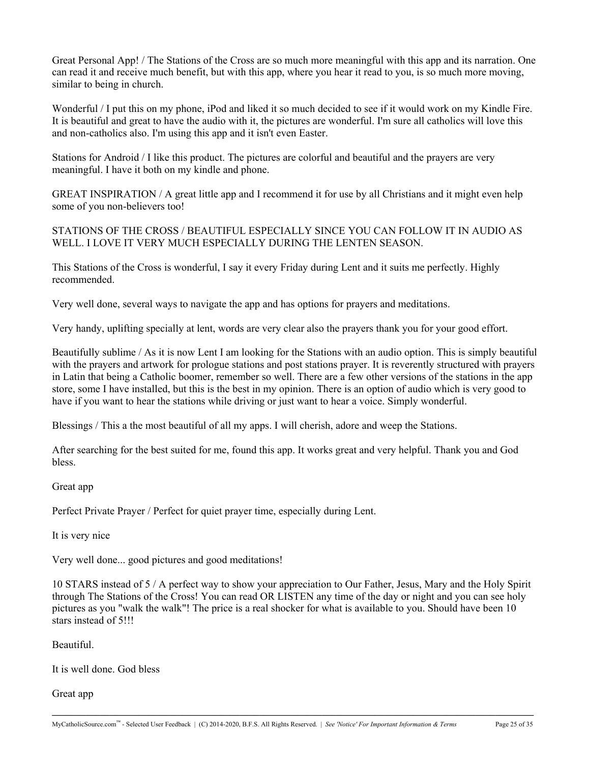Great Personal App! / The Stations of the Cross are so much more meaningful with this app and its narration. One can read it and receive much benefit, but with this app, where you hear it read to you, is so much more moving, similar to being in church.

Wonderful / I put this on my phone, iPod and liked it so much decided to see if it would work on my Kindle Fire. It is beautiful and great to have the audio with it, the pictures are wonderful. I'm sure all catholics will love this and non-catholics also. I'm using this app and it isn't even Easter.

Stations for Android / I like this product. The pictures are colorful and beautiful and the prayers are very meaningful. I have it both on my kindle and phone.

GREAT INSPIRATION / A great little app and I recommend it for use by all Christians and it might even help some of you non-believers too!

STATIONS OF THE CROSS / BEAUTIFUL ESPECIALLY SINCE YOU CAN FOLLOW IT IN AUDIO AS WELL. I LOVE IT VERY MUCH ESPECIALLY DURING THE LENTEN SEASON.

This Stations of the Cross is wonderful, I say it every Friday during Lent and it suits me perfectly. Highly recommended.

Very well done, several ways to navigate the app and has options for prayers and meditations.

Very handy, uplifting specially at lent, words are very clear also the prayers thank you for your good effort.

Beautifully sublime / As it is now Lent I am looking for the Stations with an audio option. This is simply beautiful with the prayers and artwork for prologue stations and post stations prayer. It is reverently structured with prayers in Latin that being a Catholic boomer, remember so well. There are a few other versions of the stations in the app store, some I have installed, but this is the best in my opinion. There is an option of audio which is very good to have if you want to hear the stations while driving or just want to hear a voice. Simply wonderful.

Blessings / This a the most beautiful of all my apps. I will cherish, adore and weep the Stations.

After searching for the best suited for me, found this app. It works great and very helpful. Thank you and God bless.

Great app

Perfect Private Prayer / Perfect for quiet prayer time, especially during Lent.

It is very nice

Very well done... good pictures and good meditations!

10 STARS instead of 5 / A perfect way to show your appreciation to Our Father, Jesus, Mary and the Holy Spirit through The Stations of the Cross! You can read OR LISTEN any time of the day or night and you can see holy pictures as you "walk the walk"! The price is a real shocker for what is available to you. Should have been 10 stars instead of 5!!!

**\_\_\_\_\_\_\_\_\_\_\_\_\_\_\_\_\_\_\_\_\_\_\_\_\_\_\_\_\_\_\_\_\_\_\_\_\_\_\_\_\_\_\_\_\_\_\_\_\_\_\_\_\_\_\_\_\_\_\_\_\_\_\_\_\_\_\_\_\_\_\_\_\_\_\_\_\_\_\_\_\_\_\_\_\_\_\_\_\_\_\_\_\_\_\_\_\_\_\_\_**

Beautiful.

It is well done. God bless

Great app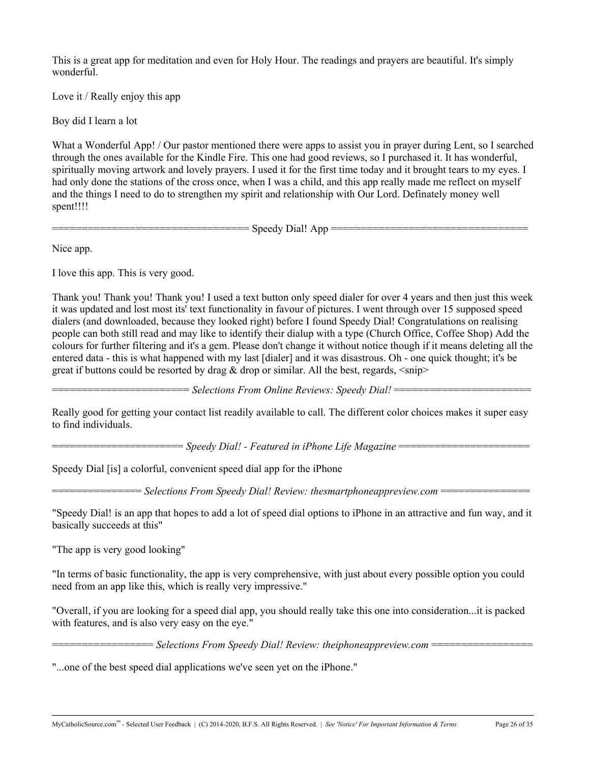This is a great app for meditation and even for Holy Hour. The readings and prayers are beautiful. It's simply wonderful.

Love it / Really enjoy this app

Boy did I learn a lot

What a Wonderful App! / Our pastor mentioned there were apps to assist you in prayer during Lent, so I searched through the ones available for the Kindle Fire. This one had good reviews, so I purchased it. It has wonderful, spiritually moving artwork and lovely prayers. I used it for the first time today and it brought tears to my eyes. I had only done the stations of the cross once, when I was a child, and this app really made me reflect on myself and the things I need to do to strengthen my spirit and relationship with Our Lord. Definately money well spent!!!!

================================= Speedy Dial! App =================================

Nice app.

I love this app. This is very good.

Thank you! Thank you! Thank you! I used a text button only speed dialer for over 4 years and then just this week it was updated and lost most its' text functionality in favour of pictures. I went through over 15 supposed speed dialers (and downloaded, because they looked right) before I found Speedy Dial! Congratulations on realising people can both still read and may like to identify their dialup with a type (Church Office, Coffee Shop) Add the colours for further filtering and it's a gem. Please don't change it without notice though if it means deleting all the entered data - this is what happened with my last [dialer] and it was disastrous. Oh - one quick thought; it's be great if buttons could be resorted by drag  $\&$  drop or similar. All the best, regards,  $\langle$ snip $\rangle$ 

======================= *Selections From Online Reviews: Speedy Dial!* =======================

Really good for getting your contact list readily available to call. The different color choices makes it super easy to find individuals.

====================== *Speedy Dial! - Featured in iPhone Life Magazine* ======================

Speedy Dial [is] a colorful, convenient speed dial app for the iPhone

=============== *Selections From Speedy Dial! Review: thesmartphoneappreview.com* ===============

"Speedy Dial! is an app that hopes to add a lot of speed dial options to iPhone in an attractive and fun way, and it basically succeeds at this"

"The app is very good looking"

"In terms of basic functionality, the app is very comprehensive, with just about every possible option you could need from an app like this, which is really very impressive."

"Overall, if you are looking for a speed dial app, you should really take this one into consideration...it is packed with features, and is also very easy on the eye."

**\_\_\_\_\_\_\_\_\_\_\_\_\_\_\_\_\_\_\_\_\_\_\_\_\_\_\_\_\_\_\_\_\_\_\_\_\_\_\_\_\_\_\_\_\_\_\_\_\_\_\_\_\_\_\_\_\_\_\_\_\_\_\_\_\_\_\_\_\_\_\_\_\_\_\_\_\_\_\_\_\_\_\_\_\_\_\_\_\_\_\_\_\_\_\_\_\_\_\_\_**

================= *Selections From Speedy Dial! Review: theiphoneappreview.com* =================

"...one of the best speed dial applications we've seen yet on the iPhone."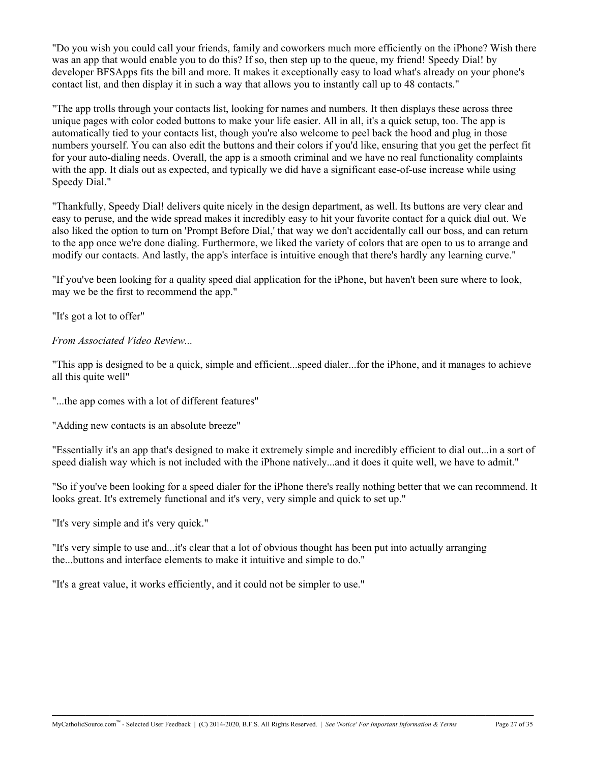"Do you wish you could call your friends, family and coworkers much more efficiently on the iPhone? Wish there was an app that would enable you to do this? If so, then step up to the queue, my friend! Speedy Dial! by developer BFSApps fits the bill and more. It makes it exceptionally easy to load what's already on your phone's contact list, and then display it in such a way that allows you to instantly call up to 48 contacts."

"The app trolls through your contacts list, looking for names and numbers. It then displays these across three unique pages with color coded buttons to make your life easier. All in all, it's a quick setup, too. The app is automatically tied to your contacts list, though you're also welcome to peel back the hood and plug in those numbers yourself. You can also edit the buttons and their colors if you'd like, ensuring that you get the perfect fit for your auto-dialing needs. Overall, the app is a smooth criminal and we have no real functionality complaints with the app. It dials out as expected, and typically we did have a significant ease-of-use increase while using Speedy Dial."

"Thankfully, Speedy Dial! delivers quite nicely in the design department, as well. Its buttons are very clear and easy to peruse, and the wide spread makes it incredibly easy to hit your favorite contact for a quick dial out. We also liked the option to turn on 'Prompt Before Dial,' that way we don't accidentally call our boss, and can return to the app once we're done dialing. Furthermore, we liked the variety of colors that are open to us to arrange and modify our contacts. And lastly, the app's interface is intuitive enough that there's hardly any learning curve."

"If you've been looking for a quality speed dial application for the iPhone, but haven't been sure where to look, may we be the first to recommend the app."

"It's got a lot to offer"

*From Associated Video Review...*

"This app is designed to be a quick, simple and efficient...speed dialer...for the iPhone, and it manages to achieve all this quite well"

"...the app comes with a lot of different features"

"Adding new contacts is an absolute breeze"

"Essentially it's an app that's designed to make it extremely simple and incredibly efficient to dial out...in a sort of speed dialish way which is not included with the iPhone natively...and it does it quite well, we have to admit."

"So if you've been looking for a speed dialer for the iPhone there's really nothing better that we can recommend. It looks great. It's extremely functional and it's very, very simple and quick to set up."

"It's very simple and it's very quick."

"It's very simple to use and...it's clear that a lot of obvious thought has been put into actually arranging the...buttons and interface elements to make it intuitive and simple to do."

"It's a great value, it works efficiently, and it could not be simpler to use."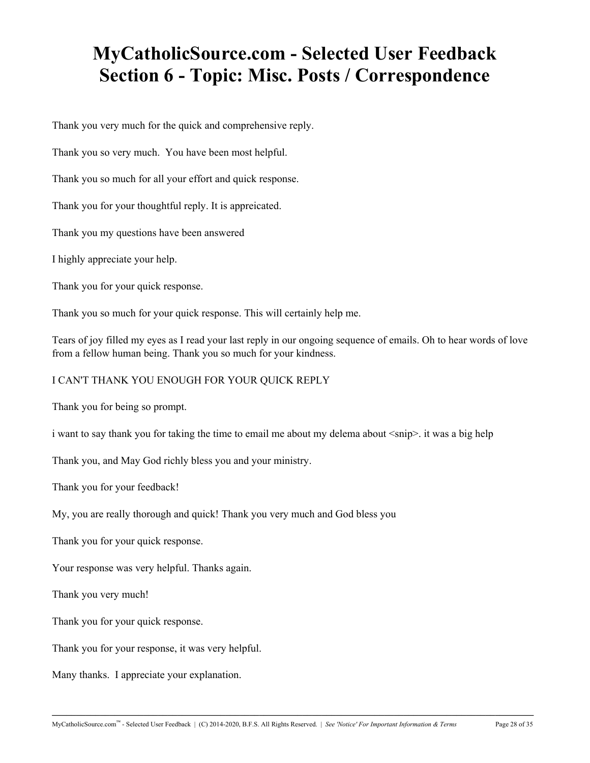# **MyCatholicSource.com - Selected User Feedback Section 6 - Topic: Misc. Posts / Correspondence**

Thank you very much for the quick and comprehensive reply.

Thank you so very much. You have been most helpful.

Thank you so much for all your effort and quick response.

Thank you for your thoughtful reply. It is appreicated.

Thank you my questions have been answered

I highly appreciate your help.

Thank you for your quick response.

Thank you so much for your quick response. This will certainly help me.

Tears of joy filled my eyes as I read your last reply in our ongoing sequence of emails. Oh to hear words of love from a fellow human being. Thank you so much for your kindness.

I CAN'T THANK YOU ENOUGH FOR YOUR QUICK REPLY

Thank you for being so prompt.

i want to say thank you for taking the time to email me about my delema about  $\langle \sinh \rangle$ . it was a big help

Thank you, and May God richly bless you and your ministry.

Thank you for your feedback!

My, you are really thorough and quick! Thank you very much and God bless you

Thank you for your quick response.

Your response was very helpful. Thanks again.

Thank you very much!

Thank you for your quick response.

Thank you for your response, it was very helpful.

Many thanks. I appreciate your explanation.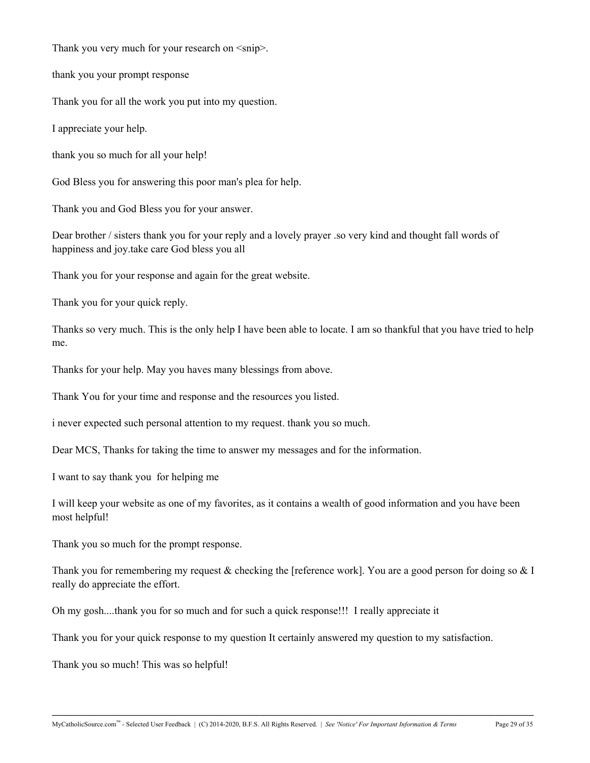Thank you very much for your research on  $\langle \text{snip} \rangle$ .

thank you your prompt response

Thank you for all the work you put into my question.

I appreciate your help.

thank you so much for all your help!

God Bless you for answering this poor man's plea for help.

Thank you and God Bless you for your answer.

Dear brother / sisters thank you for your reply and a lovely prayer .so very kind and thought fall words of happiness and joy.take care God bless you all

Thank you for your response and again for the great website.

Thank you for your quick reply.

Thanks so very much. This is the only help I have been able to locate. I am so thankful that you have tried to help me.

Thanks for your help. May you haves many blessings from above.

Thank You for your time and response and the resources you listed.

i never expected such personal attention to my request. thank you so much.

Dear MCS, Thanks for taking the time to answer my messages and for the information.

I want to say thank you for helping me

I will keep your website as one of my favorites, as it contains a wealth of good information and you have been most helpful!

Thank you so much for the prompt response.

Thank you for remembering my request & checking the [reference work]. You are a good person for doing so  $& 1$ really do appreciate the effort.

**\_\_\_\_\_\_\_\_\_\_\_\_\_\_\_\_\_\_\_\_\_\_\_\_\_\_\_\_\_\_\_\_\_\_\_\_\_\_\_\_\_\_\_\_\_\_\_\_\_\_\_\_\_\_\_\_\_\_\_\_\_\_\_\_\_\_\_\_\_\_\_\_\_\_\_\_\_\_\_\_\_\_\_\_\_\_\_\_\_\_\_\_\_\_\_\_\_\_\_\_**

Oh my gosh....thank you for so much and for such a quick response!!! I really appreciate it

Thank you for your quick response to my question It certainly answered my question to my satisfaction.

Thank you so much! This was so helpful!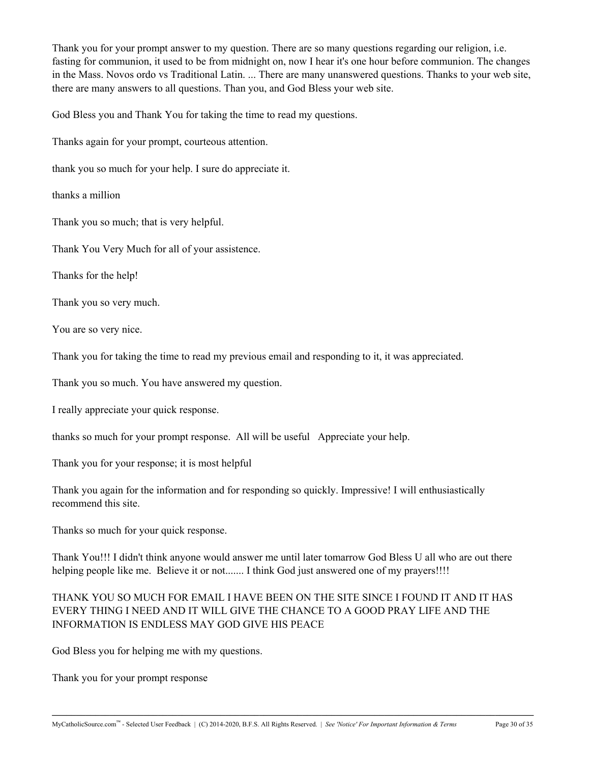Thank you for your prompt answer to my question. There are so many questions regarding our religion, i.e. fasting for communion, it used to be from midnight on, now I hear it's one hour before communion. The changes in the Mass. Novos ordo vs Traditional Latin. ... There are many unanswered questions. Thanks to your web site, there are many answers to all questions. Than you, and God Bless your web site.

God Bless you and Thank You for taking the time to read my questions.

Thanks again for your prompt, courteous attention.

thank you so much for your help. I sure do appreciate it.

thanks a million

Thank you so much; that is very helpful.

Thank You Very Much for all of your assistence.

Thanks for the help!

Thank you so very much.

You are so very nice.

Thank you for taking the time to read my previous email and responding to it, it was appreciated.

Thank you so much. You have answered my question.

I really appreciate your quick response.

thanks so much for your prompt response. All will be useful Appreciate your help.

Thank you for your response; it is most helpful

Thank you again for the information and for responding so quickly. Impressive! I will enthusiastically recommend this site.

Thanks so much for your quick response.

Thank You!!! I didn't think anyone would answer me until later tomarrow God Bless U all who are out there helping people like me. Believe it or not....... I think God just answered one of my prayers!!!!

### THANK YOU SO MUCH FOR EMAIL I HAVE BEEN ON THE SITE SINCE I FOUND IT AND IT HAS EVERY THING I NEED AND IT WILL GIVE THE CHANCE TO A GOOD PRAY LIFE AND THE INFORMATION IS ENDLESS MAY GOD GIVE HIS PEACE

**\_\_\_\_\_\_\_\_\_\_\_\_\_\_\_\_\_\_\_\_\_\_\_\_\_\_\_\_\_\_\_\_\_\_\_\_\_\_\_\_\_\_\_\_\_\_\_\_\_\_\_\_\_\_\_\_\_\_\_\_\_\_\_\_\_\_\_\_\_\_\_\_\_\_\_\_\_\_\_\_\_\_\_\_\_\_\_\_\_\_\_\_\_\_\_\_\_\_\_\_**

God Bless you for helping me with my questions.

Thank you for your prompt response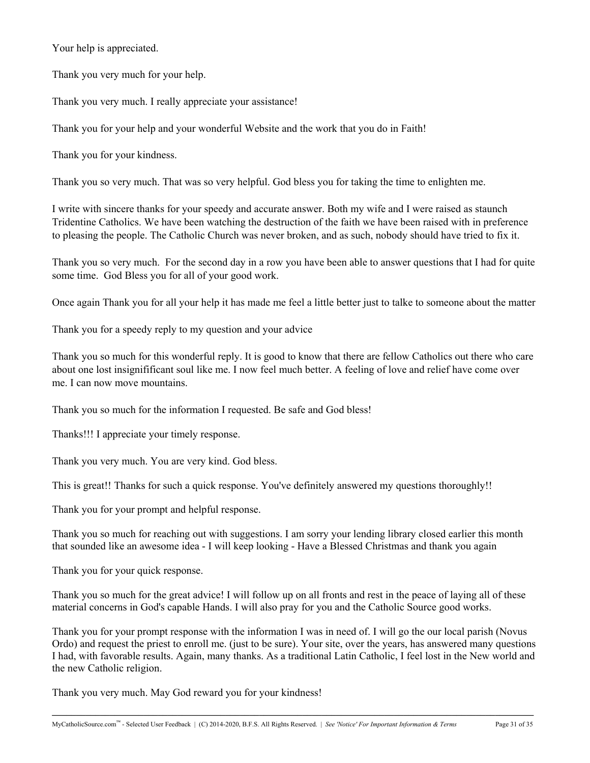Your help is appreciated.

Thank you very much for your help.

Thank you very much. I really appreciate your assistance!

Thank you for your help and your wonderful Website and the work that you do in Faith!

Thank you for your kindness.

Thank you so very much. That was so very helpful. God bless you for taking the time to enlighten me.

I write with sincere thanks for your speedy and accurate answer. Both my wife and I were raised as staunch Tridentine Catholics. We have been watching the destruction of the faith we have been raised with in preference to pleasing the people. The Catholic Church was never broken, and as such, nobody should have tried to fix it.

Thank you so very much. For the second day in a row you have been able to answer questions that I had for quite some time. God Bless you for all of your good work.

Once again Thank you for all your help it has made me feel a little better just to talke to someone about the matter

Thank you for a speedy reply to my question and your advice

Thank you so much for this wonderful reply. It is good to know that there are fellow Catholics out there who care about one lost insignifificant soul like me. I now feel much better. A feeling of love and relief have come over me. I can now move mountains.

Thank you so much for the information I requested. Be safe and God bless!

Thanks!!! I appreciate your timely response.

Thank you very much. You are very kind. God bless.

This is great!! Thanks for such a quick response. You've definitely answered my questions thoroughly!!

Thank you for your prompt and helpful response.

Thank you so much for reaching out with suggestions. I am sorry your lending library closed earlier this month that sounded like an awesome idea - I will keep looking - Have a Blessed Christmas and thank you again

Thank you for your quick response.

Thank you so much for the great advice! I will follow up on all fronts and rest in the peace of laying all of these material concerns in God's capable Hands. I will also pray for you and the Catholic Source good works.

Thank you for your prompt response with the information I was in need of. I will go the our local parish (Novus Ordo) and request the priest to enroll me. (just to be sure). Your site, over the years, has answered many questions I had, with favorable results. Again, many thanks. As a traditional Latin Catholic, I feel lost in the New world and the new Catholic religion.

**\_\_\_\_\_\_\_\_\_\_\_\_\_\_\_\_\_\_\_\_\_\_\_\_\_\_\_\_\_\_\_\_\_\_\_\_\_\_\_\_\_\_\_\_\_\_\_\_\_\_\_\_\_\_\_\_\_\_\_\_\_\_\_\_\_\_\_\_\_\_\_\_\_\_\_\_\_\_\_\_\_\_\_\_\_\_\_\_\_\_\_\_\_\_\_\_\_\_\_\_**

Thank you very much. May God reward you for your kindness!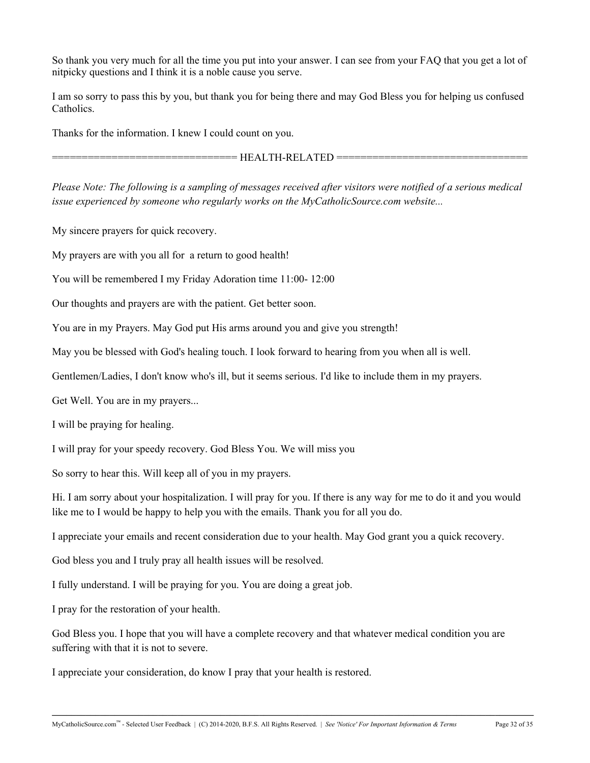So thank you very much for all the time you put into your answer. I can see from your FAQ that you get a lot of nitpicky questions and I think it is a noble cause you serve.

I am so sorry to pass this by you, but thank you for being there and may God Bless you for helping us confused Catholics.

Thanks for the information. I knew I could count on you.

 $=$  HEALTH-RELATED  $=$ 

*Please Note: The following is a sampling of messages received after visitors were notified of a serious medical issue experienced by someone who regularly works on the MyCatholicSource.com website...*

My sincere prayers for quick recovery.

My prayers are with you all for a return to good health!

You will be remembered I my Friday Adoration time 11:00- 12:00

Our thoughts and prayers are with the patient. Get better soon.

You are in my Prayers. May God put His arms around you and give you strength!

May you be blessed with God's healing touch. I look forward to hearing from you when all is well.

Gentlemen/Ladies, I don't know who's ill, but it seems serious. I'd like to include them in my prayers.

Get Well. You are in my prayers...

I will be praying for healing.

I will pray for your speedy recovery. God Bless You. We will miss you

So sorry to hear this. Will keep all of you in my prayers.

Hi. I am sorry about your hospitalization. I will pray for you. If there is any way for me to do it and you would like me to I would be happy to help you with the emails. Thank you for all you do.

I appreciate your emails and recent consideration due to your health. May God grant you a quick recovery.

God bless you and I truly pray all health issues will be resolved.

I fully understand. I will be praying for you. You are doing a great job.

I pray for the restoration of your health.

God Bless you. I hope that you will have a complete recovery and that whatever medical condition you are suffering with that it is not to severe.

**\_\_\_\_\_\_\_\_\_\_\_\_\_\_\_\_\_\_\_\_\_\_\_\_\_\_\_\_\_\_\_\_\_\_\_\_\_\_\_\_\_\_\_\_\_\_\_\_\_\_\_\_\_\_\_\_\_\_\_\_\_\_\_\_\_\_\_\_\_\_\_\_\_\_\_\_\_\_\_\_\_\_\_\_\_\_\_\_\_\_\_\_\_\_\_\_\_\_\_\_**

I appreciate your consideration, do know I pray that your health is restored.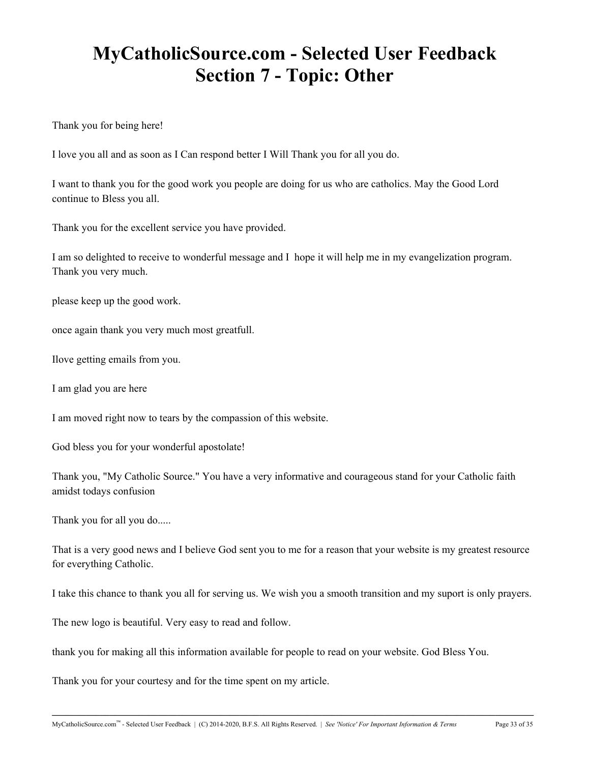# **MyCatholicSource.com - Selected User Feedback Section 7 - Topic: Other**

Thank you for being here!

I love you all and as soon as I Can respond better I Will Thank you for all you do.

I want to thank you for the good work you people are doing for us who are catholics. May the Good Lord continue to Bless you all.

Thank you for the excellent service you have provided.

I am so delighted to receive to wonderful message and I hope it will help me in my evangelization program. Thank you very much.

please keep up the good work.

once again thank you very much most greatfull.

Ilove getting emails from you.

I am glad you are here

I am moved right now to tears by the compassion of this website.

God bless you for your wonderful apostolate!

Thank you, "My Catholic Source." You have a very informative and courageous stand for your Catholic faith amidst todays confusion

Thank you for all you do.....

That is a very good news and I believe God sent you to me for a reason that your website is my greatest resource for everything Catholic.

I take this chance to thank you all for serving us. We wish you a smooth transition and my suport is only prayers.

**\_\_\_\_\_\_\_\_\_\_\_\_\_\_\_\_\_\_\_\_\_\_\_\_\_\_\_\_\_\_\_\_\_\_\_\_\_\_\_\_\_\_\_\_\_\_\_\_\_\_\_\_\_\_\_\_\_\_\_\_\_\_\_\_\_\_\_\_\_\_\_\_\_\_\_\_\_\_\_\_\_\_\_\_\_\_\_\_\_\_\_\_\_\_\_\_\_\_\_\_**

The new logo is beautiful. Very easy to read and follow.

thank you for making all this information available for people to read on your website. God Bless You.

Thank you for your courtesy and for the time spent on my article.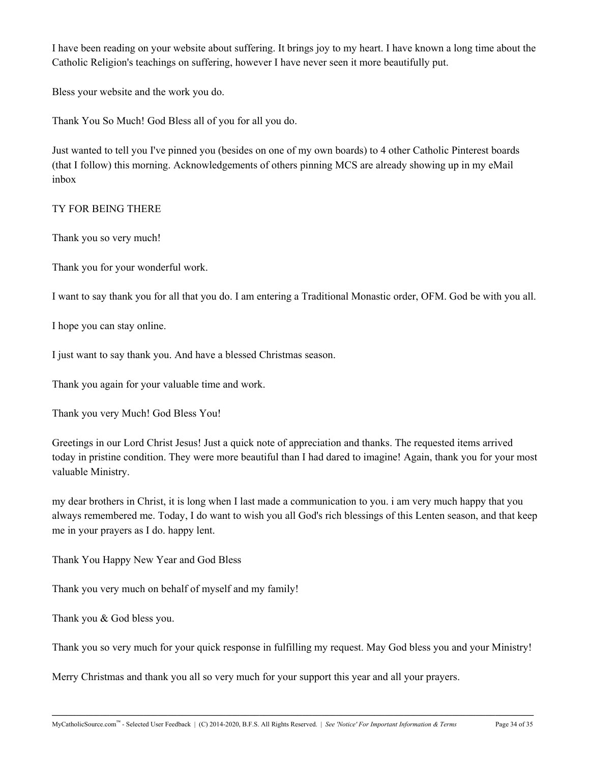I have been reading on your website about suffering. It brings joy to my heart. I have known a long time about the Catholic Religion's teachings on suffering, however I have never seen it more beautifully put.

Bless your website and the work you do.

Thank You So Much! God Bless all of you for all you do.

Just wanted to tell you I've pinned you (besides on one of my own boards) to 4 other Catholic Pinterest boards (that I follow) this morning. Acknowledgements of others pinning MCS are already showing up in my eMail inbox

### TY FOR BEING THERE

Thank you so very much!

Thank you for your wonderful work.

I want to say thank you for all that you do. I am entering a Traditional Monastic order, OFM. God be with you all.

I hope you can stay online.

I just want to say thank you. And have a blessed Christmas season.

Thank you again for your valuable time and work.

Thank you very Much! God Bless You!

Greetings in our Lord Christ Jesus! Just a quick note of appreciation and thanks. The requested items arrived today in pristine condition. They were more beautiful than I had dared to imagine! Again, thank you for your most valuable Ministry.

my dear brothers in Christ, it is long when I last made a communication to you. i am very much happy that you always remembered me. Today, I do want to wish you all God's rich blessings of this Lenten season, and that keep me in your prayers as I do. happy lent.

Thank You Happy New Year and God Bless

Thank you very much on behalf of myself and my family!

Thank you & God bless you.

Thank you so very much for your quick response in fulfilling my request. May God bless you and your Ministry!

**\_\_\_\_\_\_\_\_\_\_\_\_\_\_\_\_\_\_\_\_\_\_\_\_\_\_\_\_\_\_\_\_\_\_\_\_\_\_\_\_\_\_\_\_\_\_\_\_\_\_\_\_\_\_\_\_\_\_\_\_\_\_\_\_\_\_\_\_\_\_\_\_\_\_\_\_\_\_\_\_\_\_\_\_\_\_\_\_\_\_\_\_\_\_\_\_\_\_\_\_**

Merry Christmas and thank you all so very much for your support this year and all your prayers.